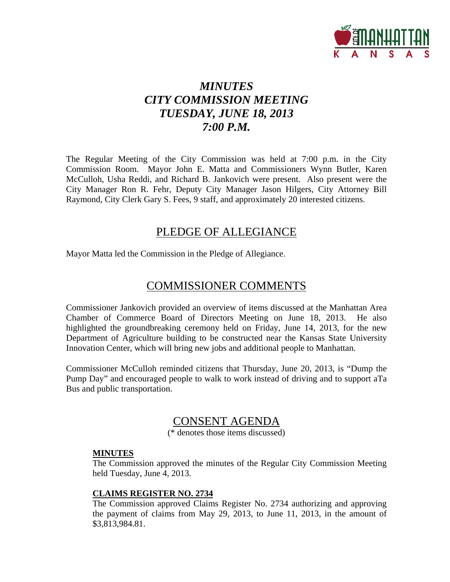

## *MINUTES CITY COMMISSION MEETING TUESDAY, JUNE 18, 2013 7:00 P.M.*

The Regular Meeting of the City Commission was held at 7:00 p.m. in the City Commission Room. Mayor John E. Matta and Commissioners Wynn Butler, Karen McCulloh, Usha Reddi, and Richard B. Jankovich were present. Also present were the City Manager Ron R. Fehr, Deputy City Manager Jason Hilgers, City Attorney Bill Raymond, City Clerk Gary S. Fees, 9 staff, and approximately 20 interested citizens.

## PLEDGE OF ALLEGIANCE

Mayor Matta led the Commission in the Pledge of Allegiance.

## COMMISSIONER COMMENTS

Commissioner Jankovich provided an overview of items discussed at the Manhattan Area Chamber of Commerce Board of Directors Meeting on June 18, 2013. He also highlighted the groundbreaking ceremony held on Friday, June 14, 2013, for the new Department of Agriculture building to be constructed near the Kansas State University Innovation Center, which will bring new jobs and additional people to Manhattan.

Commissioner McCulloh reminded citizens that Thursday, June 20, 2013, is "Dump the Pump Day" and encouraged people to walk to work instead of driving and to support aTa Bus and public transportation.

## CONSENT AGENDA

(\* denotes those items discussed)

#### **MINUTES**

The Commission approved the minutes of the Regular City Commission Meeting held Tuesday, June 4, 2013.

#### **CLAIMS REGISTER NO. 2734**

The Commission approved Claims Register No. 2734 authorizing and approving the payment of claims from May 29, 2013, to June 11, 2013, in the amount of \$3,813,984.81.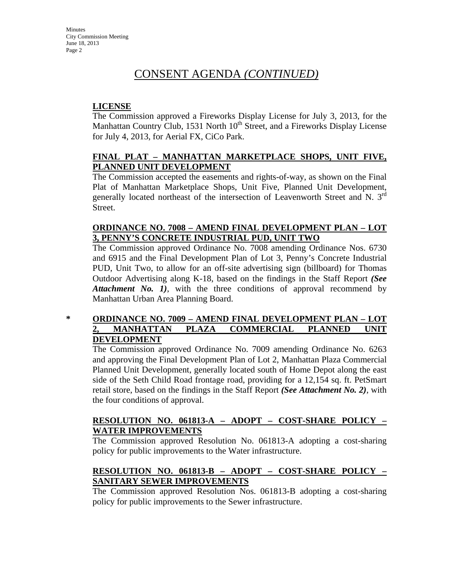#### **LICENSE**

The Commission approved a Fireworks Display License for July 3, 2013, for the Manhattan Country Club, 1531 North  $10<sup>th</sup>$  Street, and a Fireworks Display License for July 4, 2013, for Aerial FX, CiCo Park.

#### **FINAL PLAT – MANHATTAN MARKETPLACE SHOPS, UNIT FIVE, PLANNED UNIT DEVELOPMENT**

The Commission accepted the easements and rights-of-way, as shown on the Final Plat of Manhattan Marketplace Shops, Unit Five, Planned Unit Development, generally located northeast of the intersection of Leavenworth Street and N. 3rd Street.

#### **ORDINANCE NO. 7008 – AMEND FINAL DEVELOPMENT PLAN – LOT 3, PENNY'S CONCRETE INDUSTRIAL PUD, UNIT TWO**

The Commission approved Ordinance No. 7008 amending Ordinance Nos. 6730 and 6915 and the Final Development Plan of Lot 3, Penny's Concrete Industrial PUD, Unit Two, to allow for an off-site advertising sign (billboard) for Thomas Outdoor Advertising along K-18, based on the findings in the Staff Report *(See Attachment No. 1*), with the three conditions of approval recommend by Manhattan Urban Area Planning Board.

#### **\* ORDINANCE NO. 7009 – AMEND FINAL DEVELOPMENT PLAN – LOT 2, MANHATTAN PLAZA COMMERCIAL PLANNED UNIT DEVELOPMENT**

The Commission approved Ordinance No. 7009 amending Ordinance No. 6263 and approving the Final Development Plan of Lot 2, Manhattan Plaza Commercial Planned Unit Development, generally located south of Home Depot along the east side of the Seth Child Road frontage road, providing for a 12,154 sq. ft. PetSmart retail store, based on the findings in the Staff Report *(See Attachment No. 2)*, with the four conditions of approval.

#### **RESOLUTION NO. 061813-A – ADOPT – COST-SHARE POLICY – WATER IMPROVEMENTS**

The Commission approved Resolution No. 061813-A adopting a cost-sharing policy for public improvements to the Water infrastructure.

### **RESOLUTION NO. 061813-B – ADOPT – COST-SHARE POLICY – SANITARY SEWER IMPROVEMENTS**

The Commission approved Resolution Nos. 061813-B adopting a cost-sharing policy for public improvements to the Sewer infrastructure.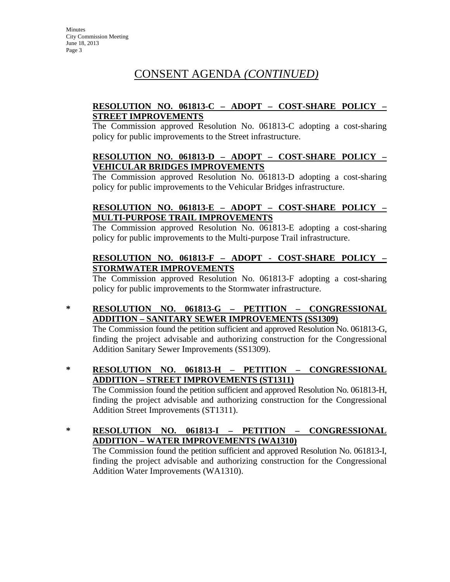#### **RESOLUTION NO. 061813-C – ADOPT – COST-SHARE POLICY – STREET IMPROVEMENTS**

The Commission approved Resolution No. 061813-C adopting a cost-sharing policy for public improvements to the Street infrastructure.

#### **RESOLUTION NO. 061813-D – ADOPT – COST-SHARE POLICY – VEHICULAR BRIDGES IMPROVEMENTS**

The Commission approved Resolution No. 061813-D adopting a cost-sharing policy for public improvements to the Vehicular Bridges infrastructure.

#### **RESOLUTION NO. 061813-E – ADOPT – COST-SHARE POLICY – MULTI-PURPOSE TRAIL IMPROVEMENTS**

The Commission approved Resolution No. 061813-E adopting a cost-sharing policy for public improvements to the Multi-purpose Trail infrastructure.

#### **RESOLUTION NO. 061813-F – ADOPT - COST-SHARE POLICY – STORMWATER IMPROVEMENTS**

The Commission approved Resolution No. 061813-F adopting a cost-sharing policy for public improvements to the Stormwater infrastructure.

**\* RESOLUTION NO. 061813-G – PETITION – CONGRESSIONAL ADDITION – SANITARY SEWER IMPROVEMENTS (SS1309)**

The Commission found the petition sufficient and approved Resolution No. 061813-G, finding the project advisable and authorizing construction for the Congressional Addition Sanitary Sewer Improvements (SS1309).

- **\* RESOLUTION NO. 061813-H PETITION CONGRESSIONAL ADDITION – STREET IMPROVEMENTS (ST1311)** The Commission found the petition sufficient and approved Resolution No. 061813-H, finding the project advisable and authorizing construction for the Congressional Addition Street Improvements (ST1311).
- **\* RESOLUTION NO. 061813-I PETITION CONGRESSIONAL ADDITION – WATER IMPROVEMENTS (WA1310)**

The Commission found the petition sufficient and approved Resolution No. 061813-I, finding the project advisable and authorizing construction for the Congressional Addition Water Improvements (WA1310).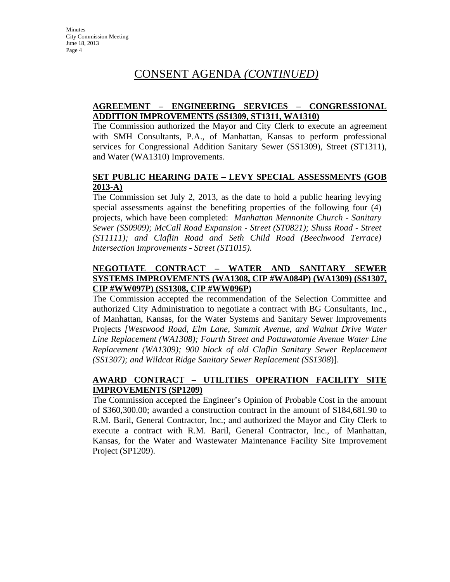#### **AGREEMENT – ENGINEERING SERVICES – CONGRESSIONAL ADDITION IMPROVEMENTS (SS1309, ST1311, WA1310)**

The Commission authorized the Mayor and City Clerk to execute an agreement with SMH Consultants, P.A., of Manhattan, Kansas to perform professional services for Congressional Addition Sanitary Sewer (SS1309), Street (ST1311), and Water (WA1310) Improvements.

#### **SET PUBLIC HEARING DATE – LEVY SPECIAL ASSESSMENTS (GOB 2013-A)**

The Commission set July 2, 2013, as the date to hold a public hearing levying special assessments against the benefiting properties of the following four (4) projects, which have been completed: *Manhattan Mennonite Church - Sanitary Sewer (SS0909); McCall Road Expansion - Street (ST0821); Shuss Road - Street (ST1111); and Claflin Road and Seth Child Road (Beechwood Terrace) Intersection Improvements - Street (ST1015).* 

#### **NEGOTIATE CONTRACT – WATER AND SANITARY SEWER SYSTEMS IMPROVEMENTS (WA1308, CIP #WA084P) (WA1309) (SS1307, CIP #WW097P) (SS1308, CIP #WW096P)**

The Commission accepted the recommendation of the Selection Committee and authorized City Administration to negotiate a contract with BG Consultants, Inc., of Manhattan, Kansas, for the Water Systems and Sanitary Sewer Improvements Projects *[Westwood Road, Elm Lane, Summit Avenue, and Walnut Drive Water Line Replacement (WA1308); Fourth Street and Pottawatomie Avenue Water Line Replacement (WA1309); 900 block of old Claflin Sanitary Sewer Replacement (SS1307); and Wildcat Ridge Sanitary Sewer Replacement (SS1308*)].

#### **AWARD CONTRACT – UTILITIES OPERATION FACILITY SITE IMPROVEMENTS (SP1209)**

The Commission accepted the Engineer's Opinion of Probable Cost in the amount of \$360,300.00; awarded a construction contract in the amount of \$184,681.90 to R.M. Baril, General Contractor, Inc.; and authorized the Mayor and City Clerk to execute a contract with R.M. Baril, General Contractor, Inc., of Manhattan, Kansas, for the Water and Wastewater Maintenance Facility Site Improvement Project (SP1209).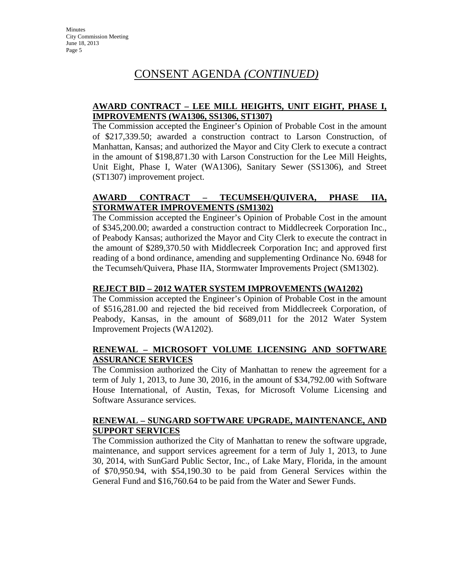#### **AWARD CONTRACT – LEE MILL HEIGHTS, UNIT EIGHT, PHASE I, IMPROVEMENTS (WA1306, SS1306, ST1307)**

The Commission accepted the Engineer's Opinion of Probable Cost in the amount of \$217,339.50; awarded a construction contract to Larson Construction, of Manhattan, Kansas; and authorized the Mayor and City Clerk to execute a contract in the amount of \$198,871.30 with Larson Construction for the Lee Mill Heights, Unit Eight, Phase I, Water (WA1306), Sanitary Sewer (SS1306), and Street (ST1307) improvement project.

#### **AWARD CONTRACT – TECUMSEH/QUIVERA, PHASE IIA, STORMWATER IMPROVEMENTS (SM1302)**

The Commission accepted the Engineer's Opinion of Probable Cost in the amount of \$345,200.00; awarded a construction contract to Middlecreek Corporation Inc., of Peabody Kansas; authorized the Mayor and City Clerk to execute the contract in the amount of \$289,370.50 with Middlecreek Corporation Inc; and approved first reading of a bond ordinance, amending and supplementing Ordinance No. 6948 for the Tecumseh/Quivera, Phase IIA, Stormwater Improvements Project (SM1302).

#### **REJECT BID – 2012 WATER SYSTEM IMPROVEMENTS (WA1202)**

The Commission accepted the Engineer's Opinion of Probable Cost in the amount of \$516,281.00 and rejected the bid received from Middlecreek Corporation, of Peabody, Kansas, in the amount of \$689,011 for the 2012 Water System Improvement Projects (WA1202).

#### **RENEWAL – MICROSOFT VOLUME LICENSING AND SOFTWARE ASSURANCE SERVICES**

The Commission authorized the City of Manhattan to renew the agreement for a term of July 1, 2013, to June 30, 2016, in the amount of \$34,792.00 with Software House International, of Austin, Texas, for Microsoft Volume Licensing and Software Assurance services.

#### **RENEWAL – SUNGARD SOFTWARE UPGRADE, MAINTENANCE, AND SUPPORT SERVICES**

The Commission authorized the City of Manhattan to renew the software upgrade, maintenance, and support services agreement for a term of July 1, 2013, to June 30, 2014, with SunGard Public Sector, Inc., of Lake Mary, Florida, in the amount of \$70,950.94, with \$54,190.30 to be paid from General Services within the General Fund and \$16,760.64 to be paid from the Water and Sewer Funds.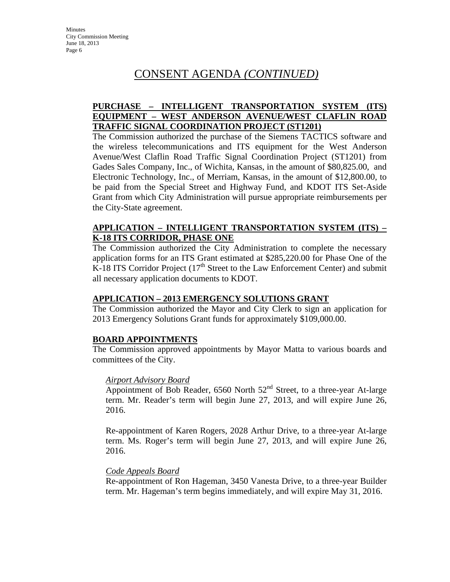#### **PURCHASE – INTELLIGENT TRANSPORTATION SYSTEM (ITS) EQUIPMENT – WEST ANDERSON AVENUE/WEST CLAFLIN ROAD TRAFFIC SIGNAL COORDINATION PROJECT (ST1201)**

The Commission authorized the purchase of the Siemens TACTICS software and the wireless telecommunications and ITS equipment for the West Anderson Avenue/West Claflin Road Traffic Signal Coordination Project (ST1201) from Gades Sales Company, Inc., of Wichita, Kansas, in the amount of \$80,825.00, and Electronic Technology, Inc., of Merriam, Kansas, in the amount of \$12,800.00, to be paid from the Special Street and Highway Fund, and KDOT ITS Set-Aside Grant from which City Administration will pursue appropriate reimbursements per the City-State agreement.

#### **APPLICATION – INTELLIGENT TRANSPORTATION SYSTEM (ITS) – K-18 ITS CORRIDOR, PHASE ONE**

The Commission authorized the City Administration to complete the necessary application forms for an ITS Grant estimated at \$285,220.00 for Phase One of the K-18 ITS Corridor Project  $(17<sup>th</sup>$  Street to the Law Enforcement Center) and submit all necessary application documents to KDOT.

#### **APPLICATION – 2013 EMERGENCY SOLUTIONS GRANT**

The Commission authorized the Mayor and City Clerk to sign an application for 2013 Emergency Solutions Grant funds for approximately \$109,000.00.

#### **BOARD APPOINTMENTS**

The Commission approved appointments by Mayor Matta to various boards and committees of the City.

#### *Airport Advisory Board*

Appointment of Bob Reader,  $6560$  North  $52<sup>nd</sup>$  Street, to a three-year At-large term. Mr. Reader's term will begin June 27, 2013, and will expire June 26, 2016.

Re-appointment of Karen Rogers, 2028 Arthur Drive, to a three-year At-large term. Ms. Roger's term will begin June 27, 2013, and will expire June 26, 2016.

#### *Code Appeals Board*

Re-appointment of Ron Hageman, 3450 Vanesta Drive, to a three-year Builder term. Mr. Hageman's term begins immediately, and will expire May 31, 2016.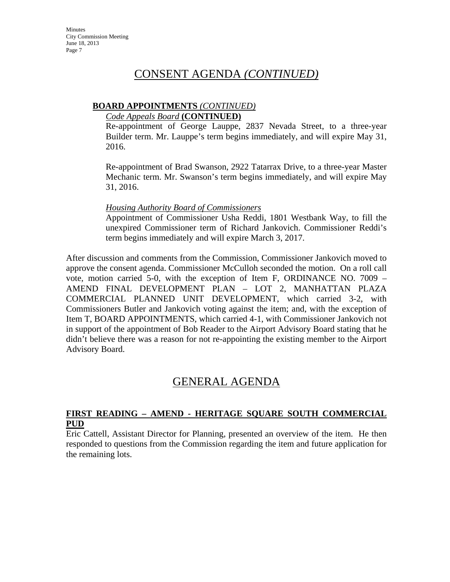#### **BOARD APPOINTMENTS** *(CONTINUED)*

#### *Code Appeals Board* **(CONTINUED)**

Re-appointment of George Lauppe, 2837 Nevada Street, to a three-year Builder term. Mr. Lauppe's term begins immediately, and will expire May 31, 2016.

Re-appointment of Brad Swanson, 2922 Tatarrax Drive, to a three-year Master Mechanic term. Mr. Swanson's term begins immediately, and will expire May 31, 2016.

#### *Housing Authority Board of Commissioners*

Appointment of Commissioner Usha Reddi, 1801 Westbank Way, to fill the unexpired Commissioner term of Richard Jankovich. Commissioner Reddi's term begins immediately and will expire March 3, 2017.

After discussion and comments from the Commission, Commissioner Jankovich moved to approve the consent agenda. Commissioner McCulloh seconded the motion. On a roll call vote, motion carried 5-0, with the exception of Item F, ORDINANCE NO. 7009 – AMEND FINAL DEVELOPMENT PLAN – LOT 2, MANHATTAN PLAZA COMMERCIAL PLANNED UNIT DEVELOPMENT, which carried 3-2, with Commissioners Butler and Jankovich voting against the item; and, with the exception of Item T, BOARD APPOINTMENTS, which carried 4-1, with Commissioner Jankovich not in support of the appointment of Bob Reader to the Airport Advisory Board stating that he didn't believe there was a reason for not re-appointing the existing member to the Airport Advisory Board.

## GENERAL AGENDA

#### **FIRST READING – AMEND - HERITAGE SQUARE SOUTH COMMERCIAL PUD**

Eric Cattell, Assistant Director for Planning, presented an overview of the item. He then responded to questions from the Commission regarding the item and future application for the remaining lots.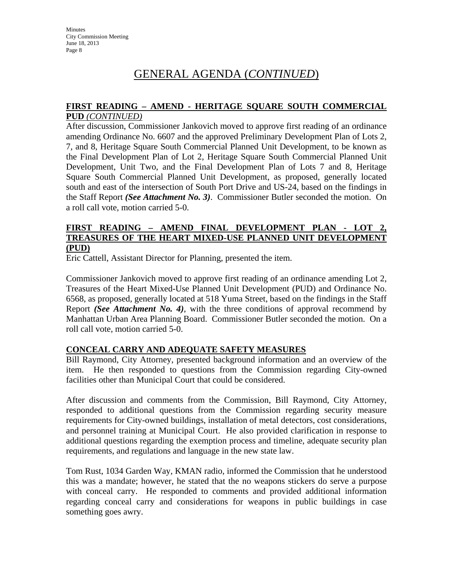## GENERAL AGENDA (*CONTINUED*)

#### **FIRST READING – AMEND - HERITAGE SQUARE SOUTH COMMERCIAL PUD** *(CONTINUED)*

After discussion, Commissioner Jankovich moved to approve first reading of an ordinance amending Ordinance No. 6607 and the approved Preliminary Development Plan of Lots 2, 7, and 8, Heritage Square South Commercial Planned Unit Development, to be known as the Final Development Plan of Lot 2, Heritage Square South Commercial Planned Unit Development, Unit Two, and the Final Development Plan of Lots 7 and 8, Heritage Square South Commercial Planned Unit Development, as proposed, generally located south and east of the intersection of South Port Drive and US-24, based on the findings in the Staff Report *(See Attachment No. 3)*. Commissioner Butler seconded the motion. On a roll call vote, motion carried 5-0.

#### **FIRST READING – AMEND FINAL DEVELOPMENT PLAN - LOT 2, TREASURES OF THE HEART MIXED-USE PLANNED UNIT DEVELOPMENT (PUD)**

Eric Cattell, Assistant Director for Planning, presented the item.

Commissioner Jankovich moved to approve first reading of an ordinance amending Lot 2, Treasures of the Heart Mixed-Use Planned Unit Development (PUD) and Ordinance No. 6568, as proposed, generally located at 518 Yuma Street, based on the findings in the Staff Report *(See Attachment No. 4)*, with the three conditions of approval recommend by Manhattan Urban Area Planning Board. Commissioner Butler seconded the motion. On a roll call vote, motion carried 5-0.

#### **CONCEAL CARRY AND ADEQUATE SAFETY MEASURES**

Bill Raymond, City Attorney, presented background information and an overview of the item. He then responded to questions from the Commission regarding City-owned facilities other than Municipal Court that could be considered.

After discussion and comments from the Commission, Bill Raymond, City Attorney, responded to additional questions from the Commission regarding security measure requirements for City-owned buildings, installation of metal detectors, cost considerations, and personnel training at Municipal Court. He also provided clarification in response to additional questions regarding the exemption process and timeline, adequate security plan requirements, and regulations and language in the new state law.

Tom Rust, 1034 Garden Way, KMAN radio, informed the Commission that he understood this was a mandate; however, he stated that the no weapons stickers do serve a purpose with conceal carry. He responded to comments and provided additional information regarding conceal carry and considerations for weapons in public buildings in case something goes awry.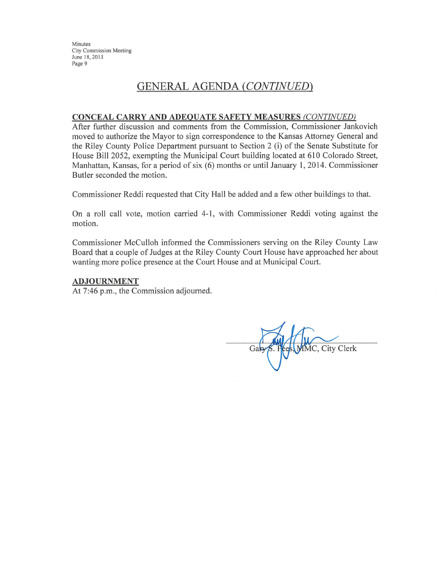### **GENERAL AGENDA (CONTINUED)**

#### **CONCEAL CARRY AND ADEQUATE SAFETY MEASURES (CONTINUED)**

After further discussion and comments from the Commission, Commissioner Jankovich moved to authorize the Mayor to sign correspondence to the Kansas Attorney General and the Riley County Police Department pursuant to Section 2 (i) of the Senate Substitute for House Bill 2052, exempting the Municipal Court building located at 610 Colorado Street, Manhattan, Kansas, for a period of six (6) months or until January 1, 2014. Commissioner Butler seconded the motion.

Commissioner Reddi requested that City Hall be added and a few other buildings to that.

On a roll call vote, motion carried 4-1, with Commissioner Reddi voting against the motion.

Commissioner McCulloh informed the Commissioners serving on the Riley County Law Board that a couple of Judges at the Riley County Court House have approached her about wanting more police presence at the Court House and at Municipal Court.

#### **ADJOURNMENT**

At 7:46 p.m., the Commission adjourned.

MMC, City Clerk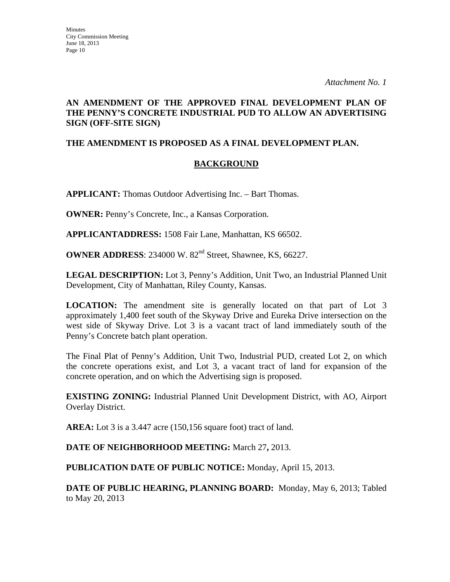#### **AN AMENDMENT OF THE APPROVED FINAL DEVELOPMENT PLAN OF THE PENNY'S CONCRETE INDUSTRIAL PUD TO ALLOW AN ADVERTISING SIGN (OFF-SITE SIGN)**

#### **THE AMENDMENT IS PROPOSED AS A FINAL DEVELOPMENT PLAN.**

#### **BACKGROUND**

**APPLICANT:** Thomas Outdoor Advertising Inc. – Bart Thomas.

**OWNER:** Penny's Concrete, Inc., a Kansas Corporation.

**APPLICANTADDRESS:** 1508 Fair Lane, Manhattan, KS 66502.

**OWNER ADDRESS**: 234000 W. 82<sup>nd</sup> Street, Shawnee, KS, 66227.

**LEGAL DESCRIPTION:** Lot 3, Penny's Addition, Unit Two, an Industrial Planned Unit Development, City of Manhattan, Riley County, Kansas.

**LOCATION:** The amendment site is generally located on that part of Lot 3 approximately 1,400 feet south of the Skyway Drive and Eureka Drive intersection on the west side of Skyway Drive. Lot 3 is a vacant tract of land immediately south of the Penny's Concrete batch plant operation.

The Final Plat of Penny's Addition, Unit Two, Industrial PUD, created Lot 2, on which the concrete operations exist, and Lot 3, a vacant tract of land for expansion of the concrete operation, and on which the Advertising sign is proposed.

**EXISTING ZONING:** Industrial Planned Unit Development District, with AO, Airport Overlay District.

**AREA:** Lot 3 is a 3.447 acre (150,156 square foot) tract of land.

**DATE OF NEIGHBORHOOD MEETING:** March 27**,** 2013.

**PUBLICATION DATE OF PUBLIC NOTICE:** Monday, April 15, 2013.

**DATE OF PUBLIC HEARING, PLANNING BOARD:** Monday, May 6, 2013; Tabled to May 20, 2013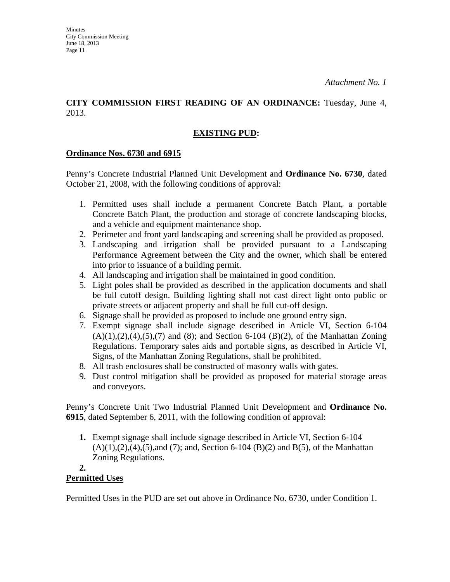#### **CITY COMMISSION FIRST READING OF AN ORDINANCE:** Tuesday, June 4, 2013.

### **EXISTING PUD:**

#### **Ordinance Nos. 6730 and 6915**

Penny's Concrete Industrial Planned Unit Development and **Ordinance No. 6730**, dated October 21, 2008, with the following conditions of approval:

- 1. Permitted uses shall include a permanent Concrete Batch Plant, a portable Concrete Batch Plant, the production and storage of concrete landscaping blocks, and a vehicle and equipment maintenance shop.
- 2. Perimeter and front yard landscaping and screening shall be provided as proposed.
- 3. Landscaping and irrigation shall be provided pursuant to a Landscaping Performance Agreement between the City and the owner, which shall be entered into prior to issuance of a building permit.
- 4. All landscaping and irrigation shall be maintained in good condition.
- 5. Light poles shall be provided as described in the application documents and shall be full cutoff design. Building lighting shall not cast direct light onto public or private streets or adjacent property and shall be full cut-off design.
- 6. Signage shall be provided as proposed to include one ground entry sign.
- 7. Exempt signage shall include signage described in Article VI, Section 6-104  $(A)(1),(2),(4),(5),(7)$  and  $(8)$ ; and Section 6-104  $(B)(2)$ , of the Manhattan Zoning Regulations. Temporary sales aids and portable signs, as described in Article VI, Signs, of the Manhattan Zoning Regulations, shall be prohibited.
- 8. All trash enclosures shall be constructed of masonry walls with gates.
- 9. Dust control mitigation shall be provided as proposed for material storage areas and conveyors.

Penny's Concrete Unit Two Industrial Planned Unit Development and **Ordinance No. 6915**, dated September 6, 2011, with the following condition of approval:

**1.** Exempt signage shall include signage described in Article VI, Section 6-104  $(A)(1),(2),(4),(5)$ ,and  $(7)$ ; and, Section 6-104  $(B)(2)$  and  $B(5)$ , of the Manhattan Zoning Regulations.

#### **2. Permitted Uses**

Permitted Uses in the PUD are set out above in Ordinance No. 6730, under Condition 1.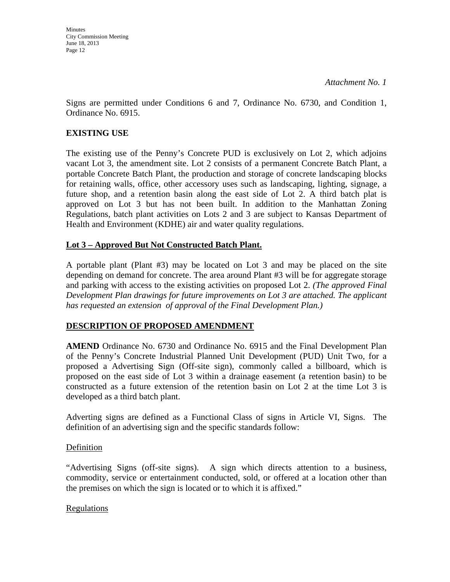**Minutes** City Commission Meeting June 18, 2013 Page 12

Signs are permitted under Conditions 6 and 7, Ordinance No. 6730, and Condition 1, Ordinance No. 6915.

#### **EXISTING USE**

The existing use of the Penny's Concrete PUD is exclusively on Lot 2, which adjoins vacant Lot 3, the amendment site. Lot 2 consists of a permanent Concrete Batch Plant, a portable Concrete Batch Plant, the production and storage of concrete landscaping blocks for retaining walls, office, other accessory uses such as landscaping, lighting, signage, a future shop, and a retention basin along the east side of Lot 2. A third batch plat is approved on Lot 3 but has not been built. In addition to the Manhattan Zoning Regulations, batch plant activities on Lots 2 and 3 are subject to Kansas Department of Health and Environment (KDHE) air and water quality regulations.

#### **Lot 3 – Approved But Not Constructed Batch Plant.**

A portable plant (Plant #3) may be located on Lot 3 and may be placed on the site depending on demand for concrete. The area around Plant #3 will be for aggregate storage and parking with access to the existing activities on proposed Lot 2. *(The approved Final Development Plan drawings for future improvements on Lot 3 are attached. The applicant has requested an extension of approval of the Final Development Plan.)*

#### **DESCRIPTION OF PROPOSED AMENDMENT**

**AMEND** Ordinance No. 6730 and Ordinance No. 6915 and the Final Development Plan of the Penny's Concrete Industrial Planned Unit Development (PUD) Unit Two, for a proposed a Advertising Sign (Off-site sign), commonly called a billboard, which is proposed on the east side of Lot 3 within a drainage easement (a retention basin) to be constructed as a future extension of the retention basin on Lot 2 at the time Lot 3 is developed as a third batch plant.

Adverting signs are defined as a Functional Class of signs in Article VI, Signs. The definition of an advertising sign and the specific standards follow:

#### **Definition**

"Advertising Signs (off-site signs). A sign which directs attention to a business, commodity, service or entertainment conducted, sold, or offered at a location other than the premises on which the sign is located or to which it is affixed."

#### Regulations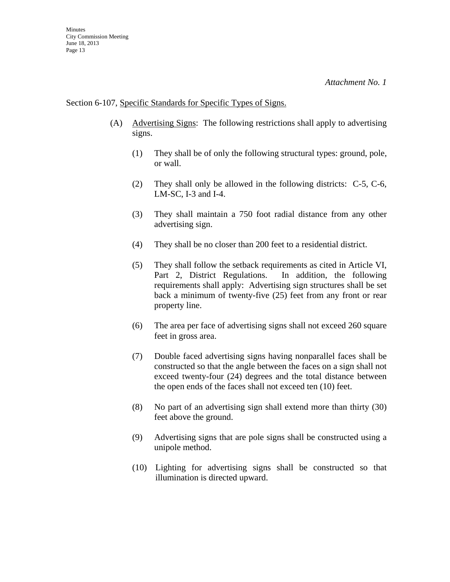#### Section 6-107, Specific Standards for Specific Types of Signs.

- (A) Advertising Signs: The following restrictions shall apply to advertising signs.
	- (1) They shall be of only the following structural types: ground, pole, or wall.
	- (2) They shall only be allowed in the following districts: C-5, C-6, LM-SC, I-3 and I-4.
	- (3) They shall maintain a 750 foot radial distance from any other advertising sign.
	- (4) They shall be no closer than 200 feet to a residential district.
	- (5) They shall follow the setback requirements as cited in Article VI, Part 2, District Regulations. In addition, the following requirements shall apply: Advertising sign structures shall be set back a minimum of twenty-five (25) feet from any front or rear property line.
	- (6) The area per face of advertising signs shall not exceed 260 square feet in gross area.
	- (7) Double faced advertising signs having nonparallel faces shall be constructed so that the angle between the faces on a sign shall not exceed twenty-four (24) degrees and the total distance between the open ends of the faces shall not exceed ten (10) feet.
	- (8) No part of an advertising sign shall extend more than thirty (30) feet above the ground.
	- (9) Advertising signs that are pole signs shall be constructed using a unipole method.
	- (10) Lighting for advertising signs shall be constructed so that illumination is directed upward.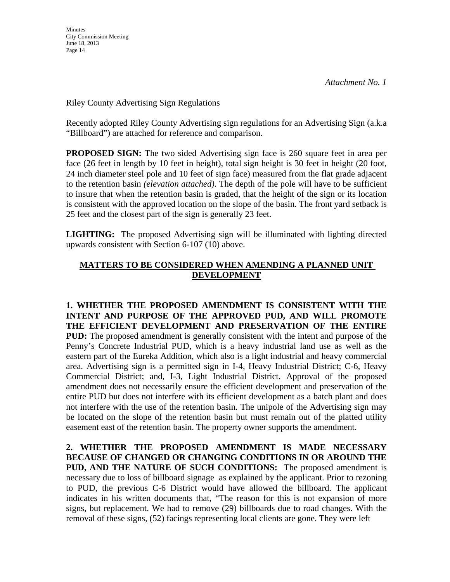Riley County Advertising Sign Regulations

Recently adopted Riley County Advertising sign regulations for an Advertising Sign (a.k.a "Billboard") are attached for reference and comparison.

**PROPOSED SIGN:** The two sided Advertising sign face is 260 square feet in area per face (26 feet in length by 10 feet in height), total sign height is 30 feet in height (20 foot, 24 inch diameter steel pole and 10 feet of sign face) measured from the flat grade adjacent to the retention basin *(elevation attached)*. The depth of the pole will have to be sufficient to insure that when the retention basin is graded, that the height of the sign or its location is consistent with the approved location on the slope of the basin. The front yard setback is 25 feet and the closest part of the sign is generally 23 feet.

**LIGHTING:** The proposed Advertising sign will be illuminated with lighting directed upwards consistent with Section 6-107 (10) above.

#### **MATTERS TO BE CONSIDERED WHEN AMENDING A PLANNED UNIT DEVELOPMENT**

**1. WHETHER THE PROPOSED AMENDMENT IS CONSISTENT WITH THE INTENT AND PURPOSE OF THE APPROVED PUD, AND WILL PROMOTE THE EFFICIENT DEVELOPMENT AND PRESERVATION OF THE ENTIRE PUD:** The proposed amendment is generally consistent with the intent and purpose of the Penny's Concrete Industrial PUD, which is a heavy industrial land use as well as the eastern part of the Eureka Addition, which also is a light industrial and heavy commercial area. Advertising sign is a permitted sign in I-4, Heavy Industrial District; C-6, Heavy Commercial District; and, I-3, Light Industrial District. Approval of the proposed amendment does not necessarily ensure the efficient development and preservation of the entire PUD but does not interfere with its efficient development as a batch plant and does not interfere with the use of the retention basin. The unipole of the Advertising sign may be located on the slope of the retention basin but must remain out of the platted utility easement east of the retention basin. The property owner supports the amendment.

**2. WHETHER THE PROPOSED AMENDMENT IS MADE NECESSARY BECAUSE OF CHANGED OR CHANGING CONDITIONS IN OR AROUND THE PUD, AND THE NATURE OF SUCH CONDITIONS:** The proposed amendment is necessary due to loss of billboard signage as explained by the applicant. Prior to rezoning to PUD, the previous C-6 District would have allowed the billboard. The applicant indicates in his written documents that, "The reason for this is not expansion of more signs, but replacement. We had to remove (29) billboards due to road changes. With the removal of these signs, (52) facings representing local clients are gone. They were left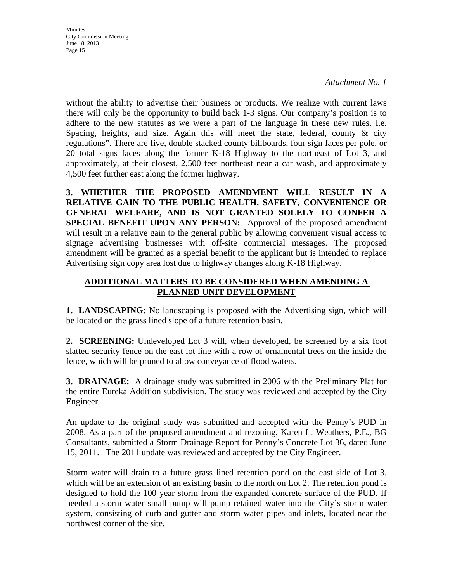*Attachment No. 1*

without the ability to advertise their business or products. We realize with current laws there will only be the opportunity to build back 1-3 signs. Our company's position is to adhere to the new statutes as we were a part of the language in these new rules. I.e. Spacing, heights, and size. Again this will meet the state, federal, county  $\&$  city regulations". There are five, double stacked county billboards, four sign faces per pole, or 20 total signs faces along the former K-18 Highway to the northeast of Lot 3, and approximately, at their closest, 2,500 feet northeast near a car wash, and approximately 4,500 feet further east along the former highway.

**3. WHETHER THE PROPOSED AMENDMENT WILL RESULT IN A RELATIVE GAIN TO THE PUBLIC HEALTH, SAFETY, CONVENIENCE OR GENERAL WELFARE, AND IS NOT GRANTED SOLELY TO CONFER A SPECIAL BENEFIT UPON ANY PERSON:** Approval of the proposed amendment will result in a relative gain to the general public by allowing convenient visual access to signage advertising businesses with off-site commercial messages. The proposed amendment will be granted as a special benefit to the applicant but is intended to replace Advertising sign copy area lost due to highway changes along K-18 Highway.

#### **ADDITIONAL MATTERS TO BE CONSIDERED WHEN AMENDING A PLANNED UNIT DEVELOPMENT**

**1. LANDSCAPING:** No landscaping is proposed with the Advertising sign, which will be located on the grass lined slope of a future retention basin.

**2. SCREENING:** Undeveloped Lot 3 will, when developed, be screened by a six foot slatted security fence on the east lot line with a row of ornamental trees on the inside the fence, which will be pruned to allow conveyance of flood waters.

**3. DRAINAGE:** A drainage study was submitted in 2006 with the Preliminary Plat for the entire Eureka Addition subdivision. The study was reviewed and accepted by the City Engineer.

An update to the original study was submitted and accepted with the Penny's PUD in 2008. As a part of the proposed amendment and rezoning, Karen L. Weathers, P.E., BG Consultants, submitted a Storm Drainage Report for Penny's Concrete Lot 36, dated June 15, 2011. The 2011 update was reviewed and accepted by the City Engineer.

Storm water will drain to a future grass lined retention pond on the east side of Lot 3, which will be an extension of an existing basin to the north on Lot 2. The retention pond is designed to hold the 100 year storm from the expanded concrete surface of the PUD. If needed a storm water small pump will pump retained water into the City's storm water system, consisting of curb and gutter and storm water pipes and inlets, located near the northwest corner of the site.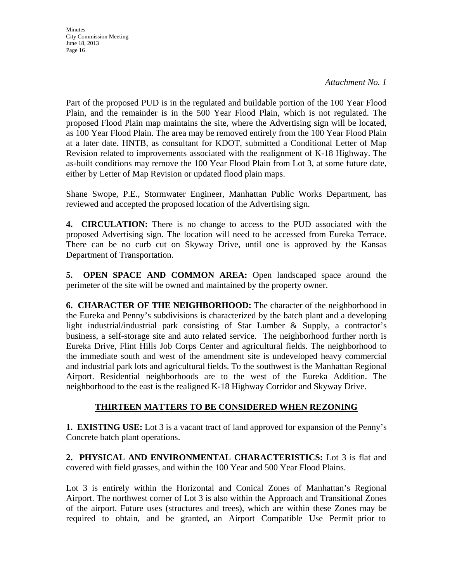*Attachment No. 1*

Part of the proposed PUD is in the regulated and buildable portion of the 100 Year Flood Plain, and the remainder is in the 500 Year Flood Plain, which is not regulated. The proposed Flood Plain map maintains the site, where the Advertising sign will be located, as 100 Year Flood Plain. The area may be removed entirely from the 100 Year Flood Plain at a later date. HNTB, as consultant for KDOT, submitted a Conditional Letter of Map Revision related to improvements associated with the realignment of K-18 Highway. The as-built conditions may remove the 100 Year Flood Plain from Lot 3, at some future date, either by Letter of Map Revision or updated flood plain maps.

Shane Swope, P.E., Stormwater Engineer, Manhattan Public Works Department, has reviewed and accepted the proposed location of the Advertising sign.

**4. CIRCULATION:** There is no change to access to the PUD associated with the proposed Advertising sign. The location will need to be accessed from Eureka Terrace. There can be no curb cut on Skyway Drive, until one is approved by the Kansas Department of Transportation.

**5. OPEN SPACE AND COMMON AREA:** Open landscaped space around the perimeter of the site will be owned and maintained by the property owner.

**6. CHARACTER OF THE NEIGHBORHOOD:** The character of the neighborhood in the Eureka and Penny's subdivisions is characterized by the batch plant and a developing light industrial/industrial park consisting of Star Lumber & Supply, a contractor's business, a self-storage site and auto related service. The neighborhood further north is Eureka Drive, Flint Hills Job Corps Center and agricultural fields. The neighborhood to the immediate south and west of the amendment site is undeveloped heavy commercial and industrial park lots and agricultural fields. To the southwest is the Manhattan Regional Airport. Residential neighborhoods are to the west of the Eureka Addition. The neighborhood to the east is the realigned K-18 Highway Corridor and Skyway Drive.

### **THIRTEEN MATTERS TO BE CONSIDERED WHEN REZONING**

**1. EXISTING USE:** Lot 3 is a vacant tract of land approved for expansion of the Penny's Concrete batch plant operations.

**2. PHYSICAL AND ENVIRONMENTAL CHARACTERISTICS:** Lot 3 is flat and covered with field grasses, and within the 100 Year and 500 Year Flood Plains.

Lot 3 is entirely within the Horizontal and Conical Zones of Manhattan's Regional Airport. The northwest corner of Lot 3 is also within the Approach and Transitional Zones of the airport. Future uses (structures and trees), which are within these Zones may be required to obtain, and be granted, an Airport Compatible Use Permit prior to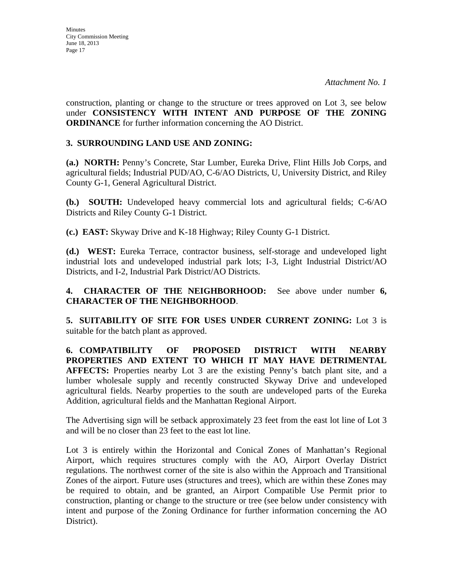construction, planting or change to the structure or trees approved on Lot 3, see below under **CONSISTENCY WITH INTENT AND PURPOSE OF THE ZONING ORDINANCE** for further information concerning the AO District.

#### **3. SURROUNDING LAND USE AND ZONING:**

**(a.) NORTH:** Penny's Concrete, Star Lumber, Eureka Drive, Flint Hills Job Corps, and agricultural fields; Industrial PUD/AO, C-6/AO Districts, U, University District, and Riley County G-1, General Agricultural District.

**(b.) SOUTH:** Undeveloped heavy commercial lots and agricultural fields; C-6/AO Districts and Riley County G-1 District.

**(c.) EAST:** Skyway Drive and K-18 Highway; Riley County G-1 District.

**(d.) WEST:** Eureka Terrace, contractor business, self-storage and undeveloped light industrial lots and undeveloped industrial park lots; I-3, Light Industrial District/AO Districts, and I-2, Industrial Park District/AO Districts.

**4. CHARACTER OF THE NEIGHBORHOOD:** See above under number **6, CHARACTER OF THE NEIGHBORHOOD**.

**5. SUITABILITY OF SITE FOR USES UNDER CURRENT ZONING:** Lot 3 is suitable for the batch plant as approved.

**6. COMPATIBILITY OF PROPOSED DISTRICT WITH NEARBY PROPERTIES AND EXTENT TO WHICH IT MAY HAVE DETRIMENTAL AFFECTS:** Properties nearby Lot 3 are the existing Penny's batch plant site, and a lumber wholesale supply and recently constructed Skyway Drive and undeveloped agricultural fields. Nearby properties to the south are undeveloped parts of the Eureka Addition, agricultural fields and the Manhattan Regional Airport.

The Advertising sign will be setback approximately 23 feet from the east lot line of Lot 3 and will be no closer than 23 feet to the east lot line.

Lot 3 is entirely within the Horizontal and Conical Zones of Manhattan's Regional Airport, which requires structures comply with the AO, Airport Overlay District regulations. The northwest corner of the site is also within the Approach and Transitional Zones of the airport. Future uses (structures and trees), which are within these Zones may be required to obtain, and be granted, an Airport Compatible Use Permit prior to construction, planting or change to the structure or tree (see below under consistency with intent and purpose of the Zoning Ordinance for further information concerning the AO District).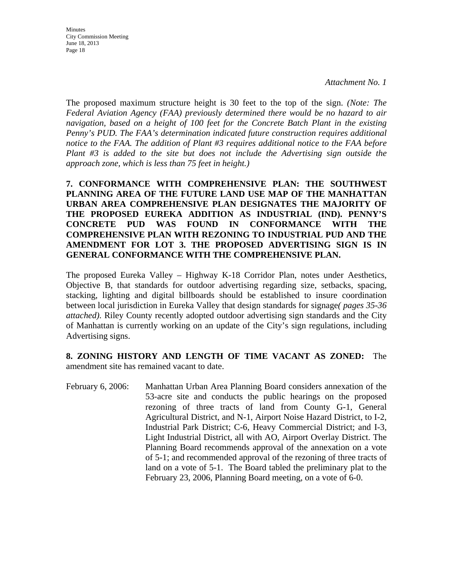The proposed maximum structure height is 30 feet to the top of the sign. *(Note: The Federal Aviation Agency (FAA) previously determined there would be no hazard to air navigation, based on a height of 100 feet for the Concrete Batch Plant in the existing Penny's PUD. The FAA's determination indicated future construction requires additional notice to the FAA. The addition of Plant #3 requires additional notice to the FAA before Plant #3 is added to the site but does not include the Advertising sign outside the approach zone, which is less than 75 feet in height.)* 

**7. CONFORMANCE WITH COMPREHENSIVE PLAN: THE SOUTHWEST PLANNING AREA OF THE FUTURE LAND USE MAP OF THE MANHATTAN URBAN AREA COMPREHENSIVE PLAN DESIGNATES THE MAJORITY OF THE PROPOSED EUREKA ADDITION AS INDUSTRIAL (IND). PENNY'S CONCRETE PUD WAS FOUND IN CONFORMANCE WITH THE COMPREHENSIVE PLAN WITH REZONING TO INDUSTRIAL PUD AND THE AMENDMENT FOR LOT 3. THE PROPOSED ADVERTISING SIGN IS IN GENERAL CONFORMANCE WITH THE COMPREHENSIVE PLAN.**

The proposed Eureka Valley – Highway K-18 Corridor Plan, notes under Aesthetics, Objective B, that standards for outdoor advertising regarding size, setbacks, spacing, stacking, lighting and digital billboards should be established to insure coordination between local jurisdiction in Eureka Valley that design standards for signage*( pages 35-36 attached)*. Riley County recently adopted outdoor advertising sign standards and the City of Manhattan is currently working on an update of the City's sign regulations, including Advertising signs.

**8. ZONING HISTORY AND LENGTH OF TIME VACANT AS ZONED:** The amendment site has remained vacant to date.

February 6, 2006: Manhattan Urban Area Planning Board considers annexation of the 53-acre site and conducts the public hearings on the proposed rezoning of three tracts of land from County G-1, General Agricultural District, and N-1, Airport Noise Hazard District, to I-2, Industrial Park District; C-6, Heavy Commercial District; and I-3, Light Industrial District, all with AO, Airport Overlay District. The Planning Board recommends approval of the annexation on a vote of 5-1; and recommended approval of the rezoning of three tracts of land on a vote of 5-1. The Board tabled the preliminary plat to the February 23, 2006, Planning Board meeting, on a vote of 6-0.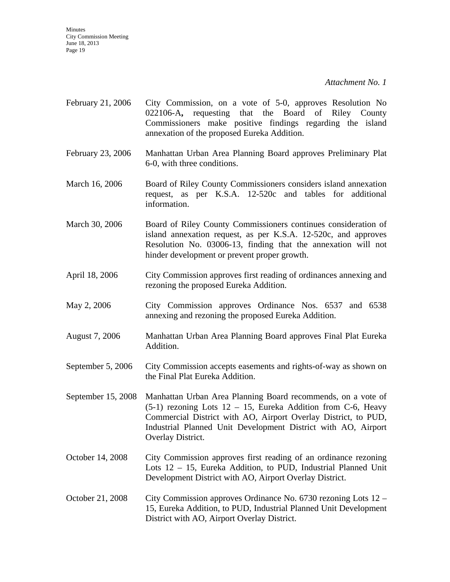*Attachment No. 1*

- February 21, 2006 City Commission, on a vote of 5-0, approves Resolution No 022106-A**,** requesting that the Board of Riley County Commissioners make positive findings regarding the island annexation of the proposed Eureka Addition.
- February 23, 2006 Manhattan Urban Area Planning Board approves Preliminary Plat 6-0, with three conditions.
- March 16, 2006 Board of Riley County Commissioners considers island annexation request, as per K.S.A. 12-520c and tables for additional information.
- March 30, 2006 Board of Riley County Commissioners continues consideration of island annexation request, as per K.S.A. 12-520c, and approves Resolution No. 03006-13, finding that the annexation will not hinder development or prevent proper growth.
- April 18, 2006 City Commission approves first reading of ordinances annexing and rezoning the proposed Eureka Addition.
- May 2, 2006 City Commission approves Ordinance Nos. 6537 and 6538 annexing and rezoning the proposed Eureka Addition.
- August 7, 2006 Manhattan Urban Area Planning Board approves Final Plat Eureka Addition.
- September 5, 2006 City Commission accepts easements and rights-of-way as shown on the Final Plat Eureka Addition.
- September 15, 2008 Manhattan Urban Area Planning Board recommends, on a vote of  $(5-1)$  rezoning Lots  $12 - 15$ , Eureka Addition from C-6, Heavy Commercial District with AO, Airport Overlay District, to PUD, Industrial Planned Unit Development District with AO, Airport Overlay District.
- October 14, 2008 City Commission approves first reading of an ordinance rezoning Lots 12 – 15, Eureka Addition, to PUD, Industrial Planned Unit Development District with AO, Airport Overlay District.
- October 21, 2008 City Commission approves Ordinance No. 6730 rezoning Lots 12 15, Eureka Addition, to PUD, Industrial Planned Unit Development District with AO, Airport Overlay District.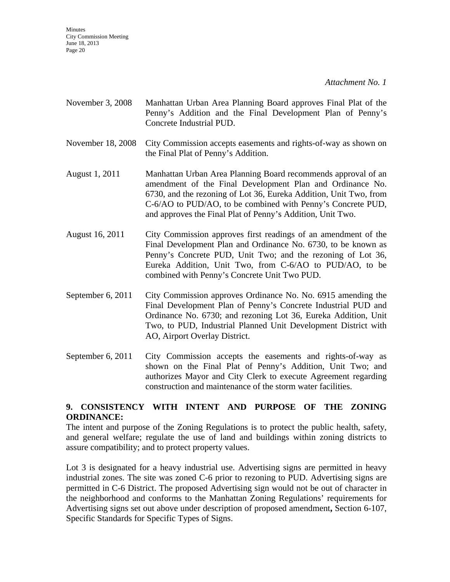- November 3, 2008 Manhattan Urban Area Planning Board approves Final Plat of the Penny's Addition and the Final Development Plan of Penny's Concrete Industrial PUD.
- November 18, 2008 City Commission accepts easements and rights-of-way as shown on the Final Plat of Penny's Addition.
- August 1, 2011 Manhattan Urban Area Planning Board recommends approval of an amendment of the Final Development Plan and Ordinance No. 6730, and the rezoning of Lot 36, Eureka Addition, Unit Two, from C-6/AO to PUD/AO, to be combined with Penny's Concrete PUD, and approves the Final Plat of Penny's Addition, Unit Two.
- August 16, 2011 City Commission approves first readings of an amendment of the Final Development Plan and Ordinance No. 6730, to be known as Penny's Concrete PUD, Unit Two; and the rezoning of Lot 36, Eureka Addition, Unit Two, from C-6/AO to PUD/AO, to be combined with Penny's Concrete Unit Two PUD.
- September 6, 2011 City Commission approves Ordinance No. No. 6915 amending the Final Development Plan of Penny's Concrete Industrial PUD and Ordinance No. 6730; and rezoning Lot 36, Eureka Addition, Unit Two, to PUD, Industrial Planned Unit Development District with AO, Airport Overlay District.
- September 6, 2011 City Commission accepts the easements and rights-of-way as shown on the Final Plat of Penny's Addition, Unit Two; and authorizes Mayor and City Clerk to execute Agreement regarding construction and maintenance of the storm water facilities.

#### **9. CONSISTENCY WITH INTENT AND PURPOSE OF THE ZONING ORDINANCE:**

The intent and purpose of the Zoning Regulations is to protect the public health, safety, and general welfare; regulate the use of land and buildings within zoning districts to assure compatibility; and to protect property values.

Lot 3 is designated for a heavy industrial use. Advertising signs are permitted in heavy industrial zones. The site was zoned C-6 prior to rezoning to PUD. Advertising signs are permitted in C-6 District. The proposed Advertising sign would not be out of character in the neighborhood and conforms to the Manhattan Zoning Regulations' requirements for Advertising signs set out above under description of proposed amendment**,** Section 6-107, Specific Standards for Specific Types of Signs.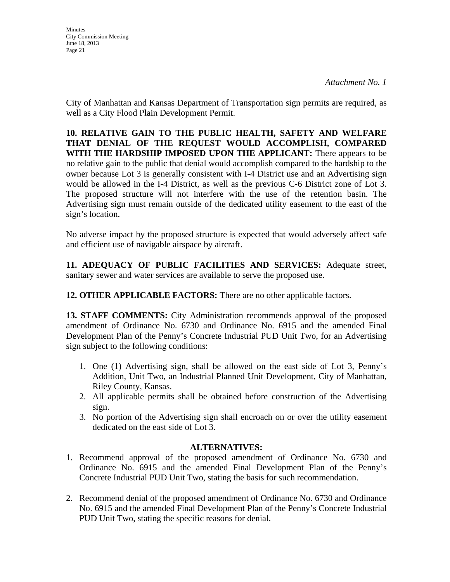**Minutes** City Commission Meeting June 18, 2013 Page 21

City of Manhattan and Kansas Department of Transportation sign permits are required, as well as a City Flood Plain Development Permit.

**10. RELATIVE GAIN TO THE PUBLIC HEALTH, SAFETY AND WELFARE THAT DENIAL OF THE REQUEST WOULD ACCOMPLISH, COMPARED WITH THE HARDSHIP IMPOSED UPON THE APPLICANT:** There appears to be no relative gain to the public that denial would accomplish compared to the hardship to the owner because Lot 3 is generally consistent with I-4 District use and an Advertising sign would be allowed in the I-4 District, as well as the previous C-6 District zone of Lot 3. The proposed structure will not interfere with the use of the retention basin. The Advertising sign must remain outside of the dedicated utility easement to the east of the sign's location.

No adverse impact by the proposed structure is expected that would adversely affect safe and efficient use of navigable airspace by aircraft.

**11. ADEQUACY OF PUBLIC FACILITIES AND SERVICES:** Adequate street, sanitary sewer and water services are available to serve the proposed use.

**12. OTHER APPLICABLE FACTORS:** There are no other applicable factors.

**13. STAFF COMMENTS:** City Administration recommends approval of the proposed amendment of Ordinance No. 6730 and Ordinance No. 6915 and the amended Final Development Plan of the Penny's Concrete Industrial PUD Unit Two, for an Advertising sign subject to the following conditions:

- 1. One (1) Advertising sign, shall be allowed on the east side of Lot 3, Penny's Addition, Unit Two, an Industrial Planned Unit Development, City of Manhattan, Riley County, Kansas.
- 2. All applicable permits shall be obtained before construction of the Advertising sign.
- 3. No portion of the Advertising sign shall encroach on or over the utility easement dedicated on the east side of Lot 3.

#### **ALTERNATIVES:**

- 1. Recommend approval of the proposed amendment of Ordinance No. 6730 and Ordinance No. 6915 and the amended Final Development Plan of the Penny's Concrete Industrial PUD Unit Two, stating the basis for such recommendation.
- 2. Recommend denial of the proposed amendment of Ordinance No. 6730 and Ordinance No. 6915 and the amended Final Development Plan of the Penny's Concrete Industrial PUD Unit Two, stating the specific reasons for denial.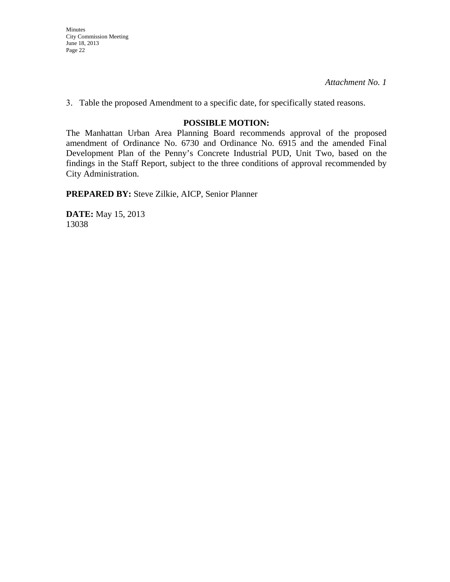*Attachment No. 1*

3. Table the proposed Amendment to a specific date, for specifically stated reasons.

#### **POSSIBLE MOTION:**

The Manhattan Urban Area Planning Board recommends approval of the proposed amendment of Ordinance No. 6730 and Ordinance No. 6915 and the amended Final Development Plan of the Penny's Concrete Industrial PUD, Unit Two, based on the findings in the Staff Report, subject to the three conditions of approval recommended by City Administration.

**PREPARED BY:** Steve Zilkie, AICP, Senior Planner

**DATE:** May 15, 2013 13038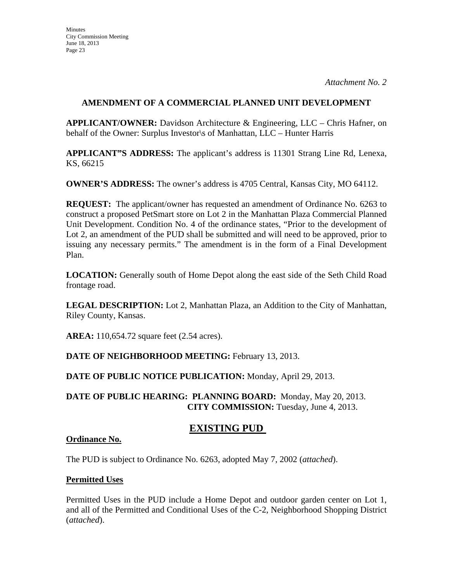**APPLICANT/OWNER:** Davidson Architecture & Engineering, LLC – Chris Hafner, on behalf of the Owner: Surplus Investor\s of Manhattan, LLC – Hunter Harris

**APPLICANT"S ADDRESS:** The applicant's address is 11301 Strang Line Rd, Lenexa, KS, 66215

**OWNER'S ADDRESS:** The owner's address is 4705 Central, Kansas City, MO 64112.

**REQUEST:** The applicant/owner has requested an amendment of Ordinance No. 6263 to construct a proposed PetSmart store on Lot 2 in the Manhattan Plaza Commercial Planned Unit Development. Condition No. 4 of the ordinance states, "Prior to the development of Lot 2, an amendment of the PUD shall be submitted and will need to be approved, prior to issuing any necessary permits." The amendment is in the form of a Final Development Plan.

**LOCATION:** Generally south of Home Depot along the east side of the Seth Child Road frontage road.

**LEGAL DESCRIPTION:** Lot 2, Manhattan Plaza, an Addition to the City of Manhattan, Riley County, Kansas.

**AREA:** 110,654.72 square feet (2.54 acres).

**DATE OF NEIGHBORHOOD MEETING:** February 13, 2013.

**DATE OF PUBLIC NOTICE PUBLICATION:** Monday, April 29, 2013.

**DATE OF PUBLIC HEARING: PLANNING BOARD:** Monday, May 20, 2013. **CITY COMMISSION:** Tuesday, June 4, 2013.

### **EXISTING PUD**

#### **Ordinance No.**

The PUD is subject to Ordinance No. 6263, adopted May 7, 2002 (*attached*).

#### **Permitted Uses**

Permitted Uses in the PUD include a Home Depot and outdoor garden center on Lot 1, and all of the Permitted and Conditional Uses of the C-2, Neighborhood Shopping District (*attached*).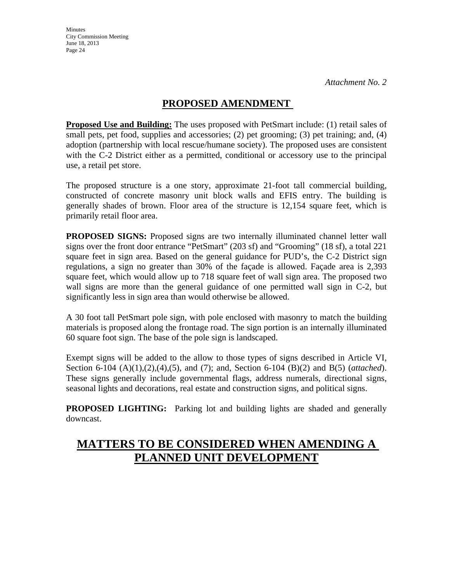## **PROPOSED AMENDMENT**

**Proposed Use and Building:** The uses proposed with PetSmart include: (1) retail sales of small pets, pet food, supplies and accessories; (2) pet grooming; (3) pet training; and, (4) adoption (partnership with local rescue/humane society). The proposed uses are consistent with the C-2 District either as a permitted, conditional or accessory use to the principal use, a retail pet store.

The proposed structure is a one story, approximate 21-foot tall commercial building, constructed of concrete masonry unit block walls and EFIS entry. The building is generally shades of brown. Floor area of the structure is 12,154 square feet, which is primarily retail floor area.

**PROPOSED SIGNS:** Proposed signs are two internally illuminated channel letter wall signs over the front door entrance "PetSmart" (203 sf) and "Grooming" (18 sf), a total 221 square feet in sign area. Based on the general guidance for PUD's, the C-2 District sign regulations, a sign no greater than 30% of the façade is allowed. Façade area is 2,393 square feet, which would allow up to 718 square feet of wall sign area. The proposed two wall signs are more than the general guidance of one permitted wall sign in C-2, but significantly less in sign area than would otherwise be allowed.

A 30 foot tall PetSmart pole sign, with pole enclosed with masonry to match the building materials is proposed along the frontage road. The sign portion is an internally illuminated 60 square foot sign. The base of the pole sign is landscaped.

Exempt signs will be added to the allow to those types of signs described in Article VI, Section 6-104 (A)(1),(2),(4),(5), and (7); and, Section 6-104 (B)(2) and B(5) (*attached*). These signs generally include governmental flags, address numerals, directional signs, seasonal lights and decorations, real estate and construction signs, and political signs.

**PROPOSED LIGHTING:** Parking lot and building lights are shaded and generally downcast.

# **MATTERS TO BE CONSIDERED WHEN AMENDING A PLANNED UNIT DEVELOPMENT**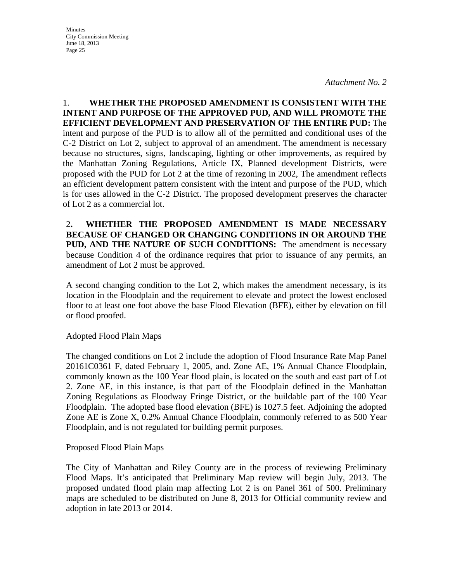**Minutes** City Commission Meeting June 18, 2013 Page 25

1. **WHETHER THE PROPOSED AMENDMENT IS CONSISTENT WITH THE INTENT AND PURPOSE OF THE APPROVED PUD, AND WILL PROMOTE THE EFFICIENT DEVELOPMENT AND PRESERVATION OF THE ENTIRE PUD:** The intent and purpose of the PUD is to allow all of the permitted and conditional uses of the C-2 District on Lot 2, subject to approval of an amendment. The amendment is necessary because no structures, signs, landscaping, lighting or other improvements, as required by the Manhattan Zoning Regulations, Article IX, Planned development Districts, were proposed with the PUD for Lot 2 at the time of rezoning in 2002, The amendment reflects an efficient development pattern consistent with the intent and purpose of the PUD, which is for uses allowed in the C-2 District. The proposed development preserves the character of Lot 2 as a commercial lot.

2**. WHETHER THE PROPOSED AMENDMENT IS MADE NECESSARY BECAUSE OF CHANGED OR CHANGING CONDITIONS IN OR AROUND THE PUD, AND THE NATURE OF SUCH CONDITIONS:** The amendment is necessary because Condition 4 of the ordinance requires that prior to issuance of any permits, an amendment of Lot 2 must be approved.

A second changing condition to the Lot 2, which makes the amendment necessary, is its location in the Floodplain and the requirement to elevate and protect the lowest enclosed floor to at least one foot above the base Flood Elevation (BFE), either by elevation on fill or flood proofed.

Adopted Flood Plain Maps

The changed conditions on Lot 2 include the adoption of Flood Insurance Rate Map Panel 20161C0361 F, dated February 1, 2005, and. Zone AE, 1% Annual Chance Floodplain, commonly known as the 100 Year flood plain, is located on the south and east part of Lot 2. Zone AE, in this instance, is that part of the Floodplain defined in the Manhattan Zoning Regulations as Floodway Fringe District, or the buildable part of the 100 Year Floodplain. The adopted base flood elevation (BFE) is 1027.5 feet. Adjoining the adopted Zone AE is Zone X, 0.2% Annual Chance Floodplain, commonly referred to as 500 Year Floodplain, and is not regulated for building permit purposes.

Proposed Flood Plain Maps

The City of Manhattan and Riley County are in the process of reviewing Preliminary Flood Maps. It's anticipated that Preliminary Map review will begin July, 2013. The proposed undated flood plain map affecting Lot 2 is on Panel 361 of 500. Preliminary maps are scheduled to be distributed on June 8, 2013 for Official community review and adoption in late 2013 or 2014.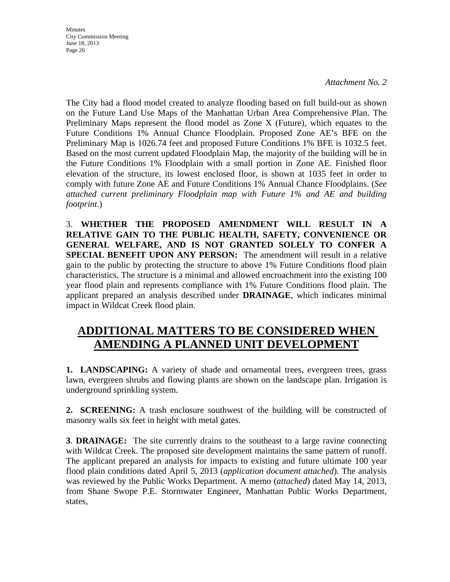*Attachment No. 2*

The City had a flood model created to analyze flooding based on full build-out as shown on the Future Land Use Maps of the Manhattan Urban Area Comprehensive Plan. The Preliminary Maps represent the flood model as Zone X (Future), which equates to the Future Conditions 1% Annual Chance Floodplain. Proposed Zone AE's BFE on the Preliminary Map is 1026.74 feet and proposed Future Conditions 1% BFE is 1032.5 feet. Based on the most current updated Floodplain Map, the majority of the building will be in the Future Conditions 1% Floodplain with a small portion in Zone AE. Finished floor elevation of the structure, its lowest enclosed floor, is shown at 1035 feet in order to comply with future Zone AE and Future Conditions 1% Annual Chance Floodplains. (*See attached current preliminary Floodplain map with Future 1% and AE and building footprint*.)

3. **WHETHER THE PROPOSED AMENDMENT WILL RESULT IN A RELATIVE GAIN TO THE PUBLIC HEALTH, SAFETY, CONVENIENCE OR GENERAL WELFARE, AND IS NOT GRANTED SOLELY TO CONFER A SPECIAL BENEFIT UPON ANY PERSON:** The amendment will result in a relative gain to the public by protecting the structure to above 1% Future Conditions flood plain characteristics. The structure is a minimal and allowed encroachment into the existing 100 year flood plain and represents compliance with 1% Future Conditions flood plain. The applicant prepared an analysis described under **DRAINAGE**, which indicates minimal impact in Wildcat Creek flood plain.

## **ADDITIONAL MATTERS TO BE CONSIDERED WHEN AMENDING A PLANNED UNIT DEVELOPMENT**

**1. LANDSCAPING:** A variety of shade and ornamental trees, evergreen trees, grass lawn, evergreen shrubs and flowing plants are shown on the landscape plan. Irrigation is underground sprinkling system.

**2. SCREENING:** A trash enclosure southwest of the building will be constructed of masonry walls six feet in height with metal gates.

**3**. **DRAINAGE:** The site currently drains to the southeast to a large ravine connecting with Wildcat Creek. The proposed site development maintains the same pattern of runoff. The applicant prepared an analysis for impacts to existing and future ultimate 100 year flood plain conditions dated April 5, 2013 (*application document attached*). The analysis was reviewed by the Public Works Department. A memo (*attached*) dated May 14, 2013, from Shane Swope P.E. Stormwater Engineer, Manhattan Public Works Department, states,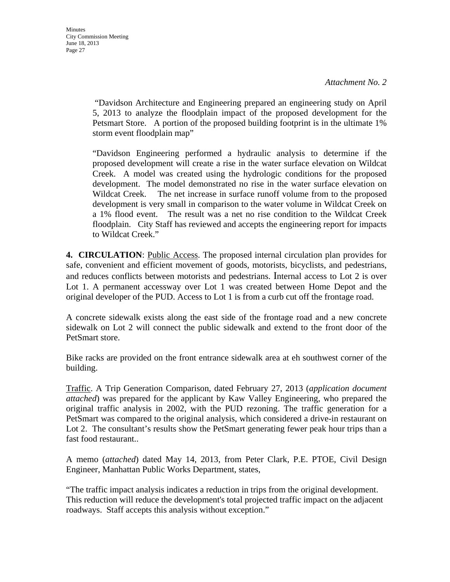"Davidson Architecture and Engineering prepared an engineering study on April 5, 2013 to analyze the floodplain impact of the proposed development for the Petsmart Store. A portion of the proposed building footprint is in the ultimate 1% storm event floodplain map"

"Davidson Engineering performed a hydraulic analysis to determine if the proposed development will create a rise in the water surface elevation on Wildcat Creek. A model was created using the hydrologic conditions for the proposed development. The model demonstrated no rise in the water surface elevation on Wildcat Creek. The net increase in surface runoff volume from to the proposed development is very small in comparison to the water volume in Wildcat Creek on a 1% flood event. The result was a net no rise condition to the Wildcat Creek floodplain. City Staff has reviewed and accepts the engineering report for impacts to Wildcat Creek."

**4. CIRCULATION**: Public Access. The proposed internal circulation plan provides for safe, convenient and efficient movement of goods, motorists, bicyclists, and pedestrians, and reduces conflicts between motorists and pedestrians. Internal access to Lot 2 is over Lot 1. A permanent accessway over Lot 1 was created between Home Depot and the original developer of the PUD. Access to Lot 1 is from a curb cut off the frontage road.

A concrete sidewalk exists along the east side of the frontage road and a new concrete sidewalk on Lot 2 will connect the public sidewalk and extend to the front door of the PetSmart store.

Bike racks are provided on the front entrance sidewalk area at eh southwest corner of the building.

Traffic. A Trip Generation Comparison, dated February 27, 2013 (*application document attached*) was prepared for the applicant by Kaw Valley Engineering, who prepared the original traffic analysis in 2002, with the PUD rezoning. The traffic generation for a PetSmart was compared to the original analysis, which considered a drive-in restaurant on Lot 2. The consultant's results show the PetSmart generating fewer peak hour trips than a fast food restaurant..

A memo (*attached*) dated May 14, 2013, from Peter Clark, P.E. PTOE, Civil Design Engineer, Manhattan Public Works Department, states,

"The traffic impact analysis indicates a reduction in trips from the original development. This reduction will reduce the development's total projected traffic impact on the adjacent roadways. Staff accepts this analysis without exception."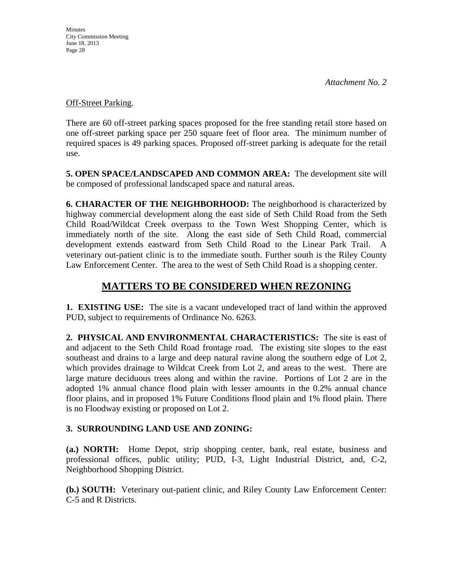#### Off-Street Parking.

There are 60 off-street parking spaces proposed for the free standing retail store based on one off-street parking space per 250 square feet of floor area. The minimum number of required spaces is 49 parking spaces. Proposed off-street parking is adequate for the retail use.

**5. OPEN SPACE/LANDSCAPED AND COMMON AREA:** The development site will be composed of professional landscaped space and natural areas.

**6. CHARACTER OF THE NEIGHBORHOOD:** The neighborhood is characterized by highway commercial development along the east side of Seth Child Road from the Seth Child Road/Wildcat Creek overpass to the Town West Shopping Center, which is immediately north of the site. Along the east side of Seth Child Road, commercial development extends eastward from Seth Child Road to the Linear Park Trail. A veterinary out-patient clinic is to the immediate south. Further south is the Riley County Law Enforcement Center. The area to the west of Seth Child Road is a shopping center.

## **MATTERS TO BE CONSIDERED WHEN REZONING**

**1. EXISTING USE:** The site is a vacant undeveloped tract of land within the approved PUD, subject to requirements of Ordinance No. 6263.

**2. PHYSICAL AND ENVIRONMENTAL CHARACTERISTICS:** The site is east of and adjacent to the Seth Child Road frontage road. The existing site slopes to the east southeast and drains to a large and deep natural ravine along the southern edge of Lot 2, which provides drainage to Wildcat Creek from Lot 2, and areas to the west. There are large mature deciduous trees along and within the ravine. Portions of Lot 2 are in the adopted 1% annual chance flood plain with lesser amounts in the 0.2% annual chance floor plains, and in proposed 1% Future Conditions flood plain and 1% flood plain. There is no Floodway existing or proposed on Lot 2.

### **3. SURROUNDING LAND USE AND ZONING:**

**(a.) NORTH:** Home Depot, strip shopping center, bank, real estate, business and professional offices, public utility; PUD, I-3, Light Industrial District, and, C-2, Neighborhood Shopping District.

**(b.) SOUTH:** Veterinary out-patient clinic, and Riley County Law Enforcement Center: C-5 and R Districts.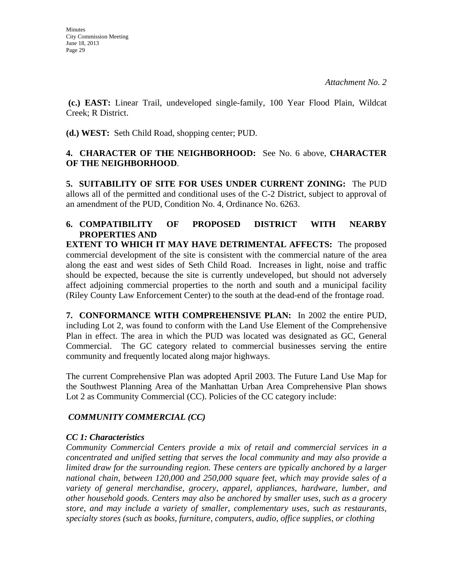**(c.) EAST:** Linear Trail, undeveloped single-family, 100 Year Flood Plain, Wildcat Creek; R District.

**(d.) WEST:** Seth Child Road, shopping center; PUD.

#### **4. CHARACTER OF THE NEIGHBORHOOD:** See No. 6 above, **CHARACTER OF THE NEIGHBORHOOD**.

**5. SUITABILITY OF SITE FOR USES UNDER CURRENT ZONING:** The PUD allows all of the permitted and conditional uses of the C-2 District, subject to approval of an amendment of the PUD, Condition No. 4, Ordinance No. 6263.

## **6. COMPATIBILITY OF PROPOSED DISTRICT WITH NEARBY PROPERTIES AND EXTENT TO WHICH IT MAY HAVE DETRIMENTAL AFFECTS:** The proposed

commercial development of the site is consistent with the commercial nature of the area along the east and west sides of Seth Child Road. Increases in light, noise and traffic should be expected, because the site is currently undeveloped, but should not adversely affect adjoining commercial properties to the north and south and a municipal facility (Riley County Law Enforcement Center) to the south at the dead-end of the frontage road.

**7. CONFORMANCE WITH COMPREHENSIVE PLAN:** In 2002 the entire PUD, including Lot 2, was found to conform with the Land Use Element of the Comprehensive Plan in effect. The area in which the PUD was located was designated as GC, General Commercial. The GC category related to commercial businesses serving the entire community and frequently located along major highways.

The current Comprehensive Plan was adopted April 2003. The Future Land Use Map for the Southwest Planning Area of the Manhattan Urban Area Comprehensive Plan shows Lot 2 as Community Commercial (CC). Policies of the CC category include:

### *COMMUNITY COMMERCIAL (CC)*

### *CC 1: Characteristics*

*Community Commercial Centers provide a mix of retail and commercial services in a concentrated and unified setting that serves the local community and may also provide a limited draw for the surrounding region. These centers are typically anchored by a larger national chain, between 120,000 and 250,000 square feet, which may provide sales of a variety of general merchandise, grocery, apparel, appliances, hardware, lumber, and other household goods. Centers may also be anchored by smaller uses, such as a grocery store, and may include a variety of smaller, complementary uses, such as restaurants, specialty stores (such as books, furniture, computers, audio, office supplies, or clothing*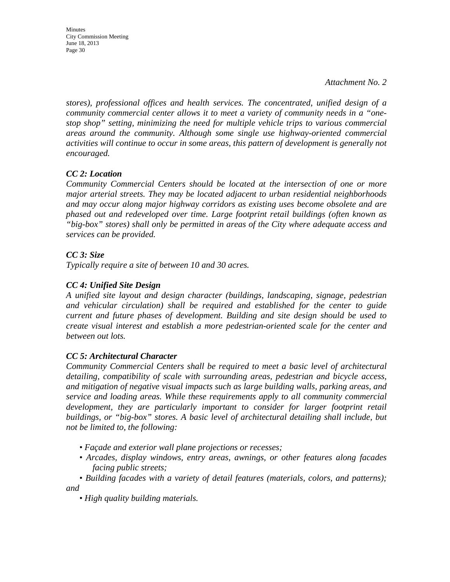Minutes City Commission Meeting June 18, 2013 Page 30

*stores), professional offices and health services. The concentrated, unified design of a community commercial center allows it to meet a variety of community needs in a "onestop shop" setting, minimizing the need for multiple vehicle trips to various commercial areas around the community. Although some single use highway-oriented commercial activities will continue to occur in some areas, this pattern of development is generally not encouraged.* 

#### *CC 2: Location*

*Community Commercial Centers should be located at the intersection of one or more major arterial streets. They may be located adjacent to urban residential neighborhoods and may occur along major highway corridors as existing uses become obsolete and are phased out and redeveloped over time. Large footprint retail buildings (often known as "big-box" stores) shall only be permitted in areas of the City where adequate access and services can be provided.* 

#### *CC 3: Size*

*Typically require a site of between 10 and 30 acres.* 

#### *CC 4: Unified Site Design*

*A unified site layout and design character (buildings, landscaping, signage, pedestrian and vehicular circulation) shall be required and established for the center to guide current and future phases of development. Building and site design should be used to create visual interest and establish a more pedestrian-oriented scale for the center and between out lots.* 

#### *CC 5: Architectural Character*

*Community Commercial Centers shall be required to meet a basic level of architectural detailing, compatibility of scale with surrounding areas, pedestrian and bicycle access, and mitigation of negative visual impacts such as large building walls, parking areas, and service and loading areas. While these requirements apply to all community commercial development, they are particularly important to consider for larger footprint retail buildings, or "big-box" stores. A basic level of architectural detailing shall include, but not be limited to, the following:* 

- *Façade and exterior wall plane projections or recesses;*
- *Arcades, display windows, entry areas, awnings, or other features along facades facing public streets;*
- *Building facades with a variety of detail features (materials, colors, and patterns); and* 
	- *High quality building materials.*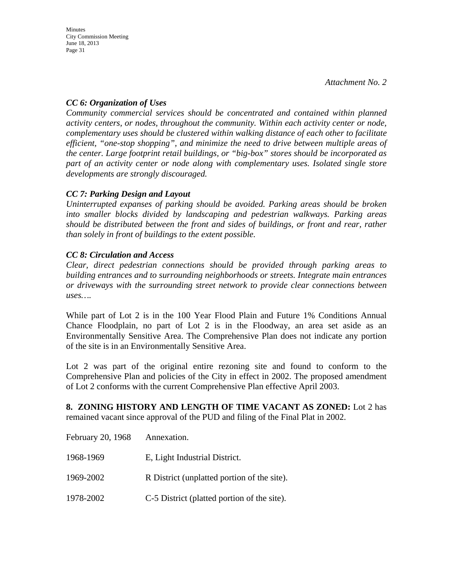#### *CC 6: Organization of Uses*

*Community commercial services should be concentrated and contained within planned activity centers, or nodes, throughout the community. Within each activity center or node, complementary uses should be clustered within walking distance of each other to facilitate efficient, "one-stop shopping", and minimize the need to drive between multiple areas of the center. Large footprint retail buildings, or "big-box" stores should be incorporated as part of an activity center or node along with complementary uses. Isolated single store developments are strongly discouraged.* 

### *CC 7: Parking Design and Layout*

*Uninterrupted expanses of parking should be avoided. Parking areas should be broken into smaller blocks divided by landscaping and pedestrian walkways. Parking areas should be distributed between the front and sides of buildings, or front and rear, rather than solely in front of buildings to the extent possible.* 

#### *CC 8: Circulation and Access*

*Clear, direct pedestrian connections should be provided through parking areas to building entrances and to surrounding neighborhoods or streets. Integrate main entrances or driveways with the surrounding street network to provide clear connections between uses….* 

While part of Lot 2 is in the 100 Year Flood Plain and Future 1% Conditions Annual Chance Floodplain, no part of Lot 2 is in the Floodway, an area set aside as an Environmentally Sensitive Area. The Comprehensive Plan does not indicate any portion of the site is in an Environmentally Sensitive Area.

Lot 2 was part of the original entire rezoning site and found to conform to the Comprehensive Plan and policies of the City in effect in 2002. The proposed amendment of Lot 2 conforms with the current Comprehensive Plan effective April 2003.

**8. ZONING HISTORY AND LENGTH OF TIME VACANT AS ZONED:** Lot 2 has remained vacant since approval of the PUD and filing of the Final Plat in 2002.

| February 20, 1968 | Annexation.                                 |
|-------------------|---------------------------------------------|
| 1968-1969         | E, Light Industrial District.               |
| 1969-2002         | R District (unplatted portion of the site). |
| 1978-2002         | C-5 District (platted portion of the site). |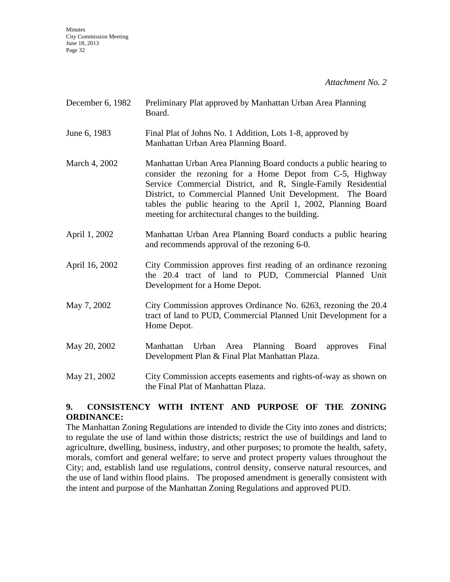*Attachment No. 2*

| December 6, 1982 | Preliminary Plat approved by Manhattan Urban Area Planning<br>Board.                                                                                                                                                                                                                                                                                                                 |
|------------------|--------------------------------------------------------------------------------------------------------------------------------------------------------------------------------------------------------------------------------------------------------------------------------------------------------------------------------------------------------------------------------------|
| June 6, 1983     | Final Plat of Johns No. 1 Addition, Lots 1-8, approved by<br>Manhattan Urban Area Planning Board.                                                                                                                                                                                                                                                                                    |
| March 4, 2002    | Manhattan Urban Area Planning Board conducts a public hearing to<br>consider the rezoning for a Home Depot from C-5, Highway<br>Service Commercial District, and R, Single-Family Residential<br>District, to Commercial Planned Unit Development. The Board<br>tables the public hearing to the April 1, 2002, Planning Board<br>meeting for architectural changes to the building. |
| April 1, 2002    | Manhattan Urban Area Planning Board conducts a public hearing<br>and recommends approval of the rezoning 6-0.                                                                                                                                                                                                                                                                        |
| April 16, 2002   | City Commission approves first reading of an ordinance rezoning<br>the 20.4 tract of land to PUD, Commercial Planned Unit<br>Development for a Home Depot.                                                                                                                                                                                                                           |
| May 7, 2002      | City Commission approves Ordinance No. 6263, rezoning the 20.4<br>tract of land to PUD, Commercial Planned Unit Development for a<br>Home Depot.                                                                                                                                                                                                                                     |
| May 20, 2002     | Manhattan Urban Area Planning Board<br>Final<br>approves<br>Development Plan & Final Plat Manhattan Plaza.                                                                                                                                                                                                                                                                           |
| May 21, 2002     | City Commission accepts easements and rights-of-way as shown on<br>the Final Plat of Manhattan Plaza.                                                                                                                                                                                                                                                                                |

#### **9. CONSISTENCY WITH INTENT AND PURPOSE OF THE ZONING ORDINANCE:**

The Manhattan Zoning Regulations are intended to divide the City into zones and districts; to regulate the use of land within those districts; restrict the use of buildings and land to agriculture, dwelling, business, industry, and other purposes; to promote the health, safety, morals, comfort and general welfare; to serve and protect property values throughout the City; and, establish land use regulations, control density, conserve natural resources, and the use of land within flood plains. The proposed amendment is generally consistent with the intent and purpose of the Manhattan Zoning Regulations and approved PUD.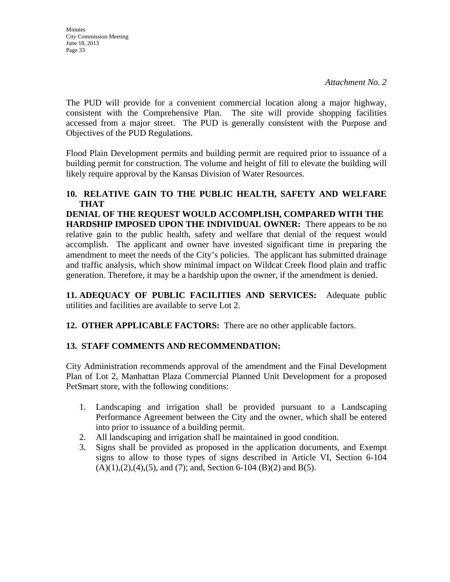The PUD will provide for a convenient commercial location along a major highway, consistent with the Comprehensive Plan. The site will provide shopping facilities accessed from a major street. The PUD is generally consistent with the Purpose and Objectives of the PUD Regulations.

Flood Plain Development permits and building permit are required prior to issuance of a building permit for construction. The volume and height of fill to elevate the building will likely require approval by the Kansas Division of Water Resources.

#### **10. RELATIVE GAIN TO THE PUBLIC HEALTH, SAFETY AND WELFARE THAT**

**DENIAL OF THE REQUEST WOULD ACCOMPLISH, COMPARED WITH THE HARDSHIP IMPOSED UPON THE INDIVIDUAL OWNER:** There appears to be no relative gain to the public health, safety and welfare that denial of the request would accomplish. The applicant and owner have invested significant time in preparing the amendment to meet the needs of the City's policies. The applicant has submitted drainage and traffic analysis, which show minimal impact on Wildcat Creek flood plain and traffic generation. Therefore, it may be a hardship upon the owner, if the amendment is denied.

**11. ADEQUACY OF PUBLIC FACILITIES AND SERVICES:** Adequate public utilities and facilities are available to serve Lot 2.

**12. OTHER APPLICABLE FACTORS:** There are no other applicable factors.

### **13. STAFF COMMENTS AND RECOMMENDATION:**

City Administration recommends approval of the amendment and the Final Development Plan of Lot 2, Manhattan Plaza Commercial Planned Unit Development for a proposed PetSmart store, with the following conditions:

- 1. Landscaping and irrigation shall be provided pursuant to a Landscaping Performance Agreement between the City and the owner, which shall be entered into prior to issuance of a building permit.
- 2. All landscaping and irrigation shall be maintained in good condition.
- 3. Signs shall be provided as proposed in the application documents, and Exempt signs to allow to those types of signs described in Article VI, Section 6-104  $(A)(1),(2),(4),(5)$ , and  $(7)$ ; and, Section 6-104  $(B)(2)$  and  $B(5)$ .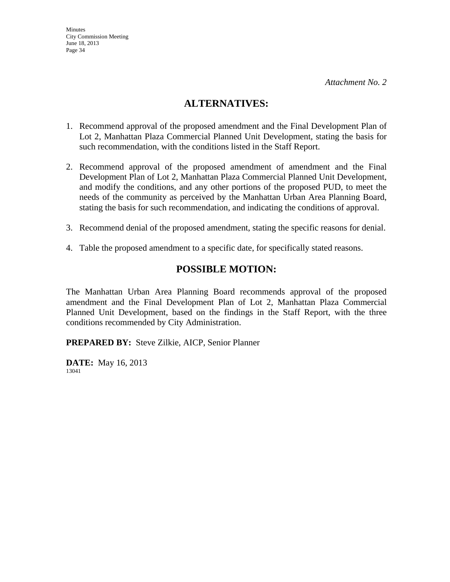### **ALTERNATIVES:**

- 1. Recommend approval of the proposed amendment and the Final Development Plan of Lot 2, Manhattan Plaza Commercial Planned Unit Development, stating the basis for such recommendation, with the conditions listed in the Staff Report.
- 2. Recommend approval of the proposed amendment of amendment and the Final Development Plan of Lot 2, Manhattan Plaza Commercial Planned Unit Development, and modify the conditions, and any other portions of the proposed PUD, to meet the needs of the community as perceived by the Manhattan Urban Area Planning Board, stating the basis for such recommendation, and indicating the conditions of approval.
- 3. Recommend denial of the proposed amendment, stating the specific reasons for denial.
- 4. Table the proposed amendment to a specific date, for specifically stated reasons.

### **POSSIBLE MOTION:**

The Manhattan Urban Area Planning Board recommends approval of the proposed amendment and the Final Development Plan of Lot 2, Manhattan Plaza Commercial Planned Unit Development, based on the findings in the Staff Report, with the three conditions recommended by City Administration.

**PREPARED BY:** Steve Zilkie, AICP, Senior Planner

**DATE:** May 16, 2013 13041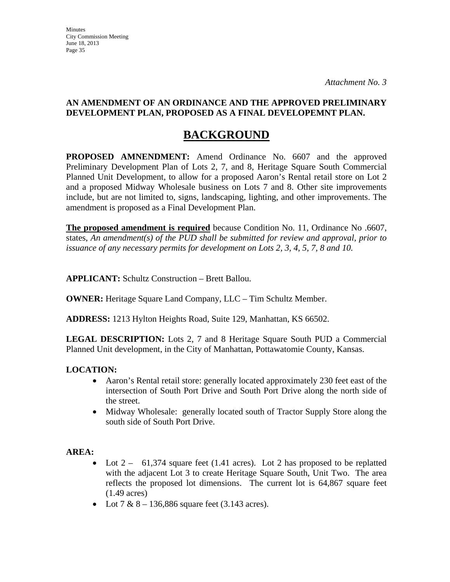#### **AN AMENDMENT OF AN ORDINANCE AND THE APPROVED PRELIMINARY DEVELOPMENT PLAN, PROPOSED AS A FINAL DEVELOPEMNT PLAN.**

## **BACKGROUND**

**PROPOSED AMNENDMENT:** Amend Ordinance No. 6607 and the approved Preliminary Development Plan of Lots 2, 7, and 8, Heritage Square South Commercial Planned Unit Development, to allow for a proposed Aaron's Rental retail store on Lot 2 and a proposed Midway Wholesale business on Lots 7 and 8. Other site improvements include, but are not limited to, signs, landscaping, lighting, and other improvements. The amendment is proposed as a Final Development Plan.

**The proposed amendment is required** because Condition No. 11, Ordinance No .6607, states, *An amendment(s) of the PUD shall be submitted for review and approval, prior to issuance of any necessary permits for development on Lots 2, 3, 4, 5, 7, 8 and 10.*

**APPLICANT:** Schultz Construction – Brett Ballou.

**OWNER:** Heritage Square Land Company, LLC – Tim Schultz Member.

**ADDRESS:** 1213 Hylton Heights Road, Suite 129, Manhattan, KS 66502.

**LEGAL DESCRIPTION:** Lots 2, 7 and 8 Heritage Square South PUD a Commercial Planned Unit development, in the City of Manhattan, Pottawatomie County, Kansas.

### **LOCATION:**

- Aaron's Rental retail store: generally located approximately 230 feet east of the intersection of South Port Drive and South Port Drive along the north side of the street.
- Midway Wholesale: generally located south of Tractor Supply Store along the south side of South Port Drive.

### **AREA:**

- Lot  $2 61,374$  square feet (1.41 acres). Lot 2 has proposed to be replatted with the adjacent Lot 3 to create Heritage Square South, Unit Two. The area reflects the proposed lot dimensions. The current lot is 64,867 square feet (1.49 acres)
- Lot  $7 & 8 136,886$  square feet (3.143 acres).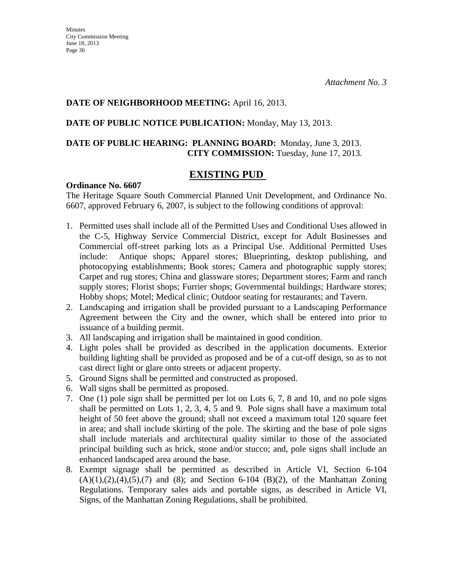#### **DATE OF NEIGHBORHOOD MEETING:** April 16, 2013.

#### **DATE OF PUBLIC NOTICE PUBLICATION:** Monday, May 13, 2013.

### **DATE OF PUBLIC HEARING: PLANNING BOARD:** Monday, June 3, 2013. **CITY COMMISSION:** Tuesday, June 17, 2013.

### **EXISTING PUD**

#### **Ordinance No. 6607**

The Heritage Square South Commercial Planned Unit Development, and Ordinance No. 6607, approved February 6, 2007, is subject to the following conditions of approval:

- 1. Permitted uses shall include all of the Permitted Uses and Conditional Uses allowed in the C-5, Highway Service Commercial District, except for Adult Businesses and Commercial off-street parking lots as a Principal Use. Additional Permitted Uses include: Antique shops; Apparel stores; Blueprinting, desktop publishing, and photocopying establishments; Book stores; Camera and photographic supply stores; Carpet and rug stores; China and glassware stores; Department stores; Farm and ranch supply stores; Florist shops; Furrier shops; Governmental buildings; Hardware stores; Hobby shops; Motel; Medical clinic; Outdoor seating for restaurants; and Tavern.
- 2. Landscaping and irrigation shall be provided pursuant to a Landscaping Performance Agreement between the City and the owner, which shall be entered into prior to issuance of a building permit.
- 3. All landscaping and irrigation shall be maintained in good condition.
- 4. Light poles shall be provided as described in the application documents. Exterior building lighting shall be provided as proposed and be of a cut-off design, so as to not cast direct light or glare onto streets or adjacent property.
- 5. Ground Signs shall be permitted and constructed as proposed.
- 6. Wall signs shall be permitted as proposed.
- 7. One (1) pole sign shall be permitted per lot on Lots 6, 7, 8 and 10, and no pole signs shall be permitted on Lots 1, 2, 3, 4, 5 and 9. Pole signs shall have a maximum total height of 50 feet above the ground; shall not exceed a maximum total 120 square feet in area; and shall include skirting of the pole. The skirting and the base of pole signs shall include materials and architectural quality similar to those of the associated principal building such as brick, stone and/or stucco; and, pole signs shall include an enhanced landscaped area around the base.
- 8. Exempt signage shall be permitted as described in Article VI, Section 6-104  $(A)(1),(2),(4),(5),(7)$  and  $(8)$ ; and Section 6-104  $(B)(2)$ , of the Manhattan Zoning Regulations. Temporary sales aids and portable signs, as described in Article VI, Signs, of the Manhattan Zoning Regulations, shall be prohibited.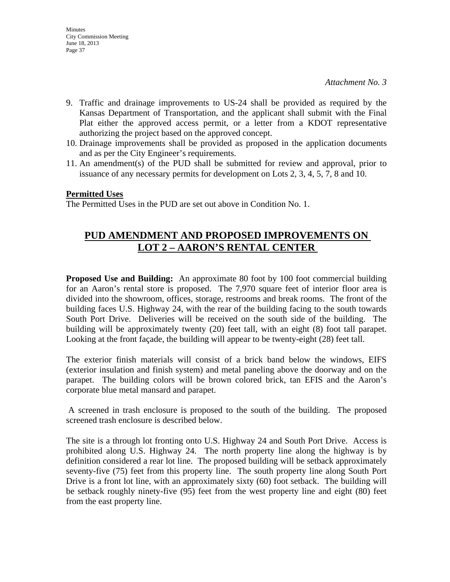- 9. Traffic and drainage improvements to US-24 shall be provided as required by the Kansas Department of Transportation, and the applicant shall submit with the Final Plat either the approved access permit, or a letter from a KDOT representative authorizing the project based on the approved concept.
- 10. Drainage improvements shall be provided as proposed in the application documents and as per the City Engineer's requirements.
- 11. An amendment(s) of the PUD shall be submitted for review and approval, prior to issuance of any necessary permits for development on Lots 2, 3, 4, 5, 7, 8 and 10.

#### **Permitted Uses**

The Permitted Uses in the PUD are set out above in Condition No. 1.

## **PUD AMENDMENT AND PROPOSED IMPROVEMENTS ON LOT 2 – AARON'S RENTAL CENTER**

**Proposed Use and Building:** An approximate 80 foot by 100 foot commercial building for an Aaron's rental store is proposed. The 7,970 square feet of interior floor area is divided into the showroom, offices, storage, restrooms and break rooms. The front of the building faces U.S. Highway 24, with the rear of the building facing to the south towards South Port Drive. Deliveries will be received on the south side of the building. The building will be approximately twenty (20) feet tall, with an eight (8) foot tall parapet. Looking at the front façade, the building will appear to be twenty-eight (28) feet tall.

The exterior finish materials will consist of a brick band below the windows, EIFS (exterior insulation and finish system) and metal paneling above the doorway and on the parapet. The building colors will be brown colored brick, tan EFIS and the Aaron's corporate blue metal mansard and parapet.

 A screened in trash enclosure is proposed to the south of the building. The proposed screened trash enclosure is described below.

The site is a through lot fronting onto U.S. Highway 24 and South Port Drive. Access is prohibited along U.S. Highway 24. The north property line along the highway is by definition considered a rear lot line. The proposed building will be setback approximately seventy-five (75) feet from this property line. The south property line along South Port Drive is a front lot line, with an approximately sixty (60) foot setback. The building will be setback roughly ninety-five (95) feet from the west property line and eight (80) feet from the east property line.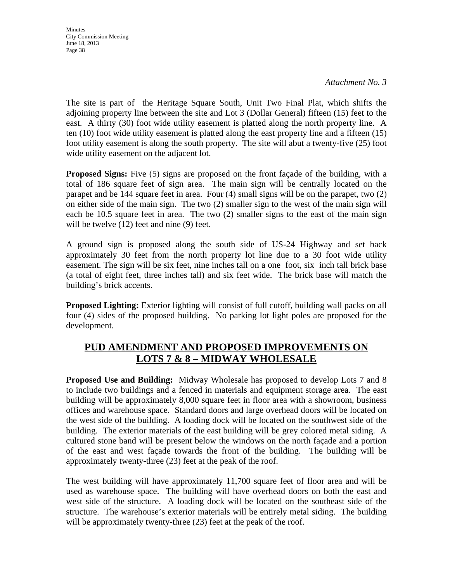*Attachment No. 3*

The site is part of the Heritage Square South, Unit Two Final Plat, which shifts the adjoining property line between the site and Lot 3 (Dollar General) fifteen (15) feet to the east. A thirty (30) foot wide utility easement is platted along the north property line. A ten (10) foot wide utility easement is platted along the east property line and a fifteen (15) foot utility easement is along the south property. The site will abut a twenty-five (25) foot wide utility easement on the adjacent lot.

**Proposed Signs:** Five (5) signs are proposed on the front façade of the building, with a total of 186 square feet of sign area. The main sign will be centrally located on the parapet and be 144 square feet in area. Four (4) small signs will be on the parapet, two (2) on either side of the main sign. The two (2) smaller sign to the west of the main sign will each be 10.5 square feet in area. The two (2) smaller signs to the east of the main sign will be twelve (12) feet and nine (9) feet.

A ground sign is proposed along the south side of US-24 Highway and set back approximately 30 feet from the north property lot line due to a 30 foot wide utility easement. The sign will be six feet, nine inches tall on a one foot, six inch tall brick base (a total of eight feet, three inches tall) and six feet wide. The brick base will match the building's brick accents.

**Proposed Lighting:** Exterior lighting will consist of full cutoff, building wall packs on all four (4) sides of the proposed building. No parking lot light poles are proposed for the development.

## **PUD AMENDMENT AND PROPOSED IMPROVEMENTS ON LOTS 7 & 8 – MIDWAY WHOLESALE**

**Proposed Use and Building:** Midway Wholesale has proposed to develop Lots 7 and 8 to include two buildings and a fenced in materials and equipment storage area. The east building will be approximately 8,000 square feet in floor area with a showroom, business offices and warehouse space. Standard doors and large overhead doors will be located on the west side of the building. A loading dock will be located on the southwest side of the building. The exterior materials of the east building will be grey colored metal siding. A cultured stone band will be present below the windows on the north façade and a portion of the east and west façade towards the front of the building. The building will be approximately twenty-three (23) feet at the peak of the roof.

The west building will have approximately 11,700 square feet of floor area and will be used as warehouse space. The building will have overhead doors on both the east and west side of the structure. A loading dock will be located on the southeast side of the structure. The warehouse's exterior materials will be entirely metal siding. The building will be approximately twenty-three  $(23)$  feet at the peak of the roof.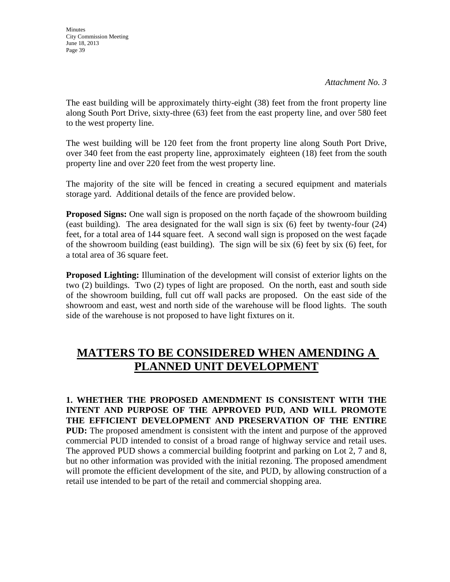The east building will be approximately thirty-eight (38) feet from the front property line along South Port Drive, sixty-three (63) feet from the east property line, and over 580 feet to the west property line.

The west building will be 120 feet from the front property line along South Port Drive, over 340 feet from the east property line, approximately eighteen (18) feet from the south property line and over 220 feet from the west property line.

The majority of the site will be fenced in creating a secured equipment and materials storage yard. Additional details of the fence are provided below.

**Proposed Signs:** One wall sign is proposed on the north façade of the showroom building (east building). The area designated for the wall sign is six (6) feet by twenty-four (24) feet, for a total area of 144 square feet. A second wall sign is proposed on the west façade of the showroom building (east building). The sign will be six (6) feet by six (6) feet, for a total area of 36 square feet.

**Proposed Lighting:** Illumination of the development will consist of exterior lights on the two (2) buildings. Two (2) types of light are proposed. On the north, east and south side of the showroom building, full cut off wall packs are proposed. On the east side of the showroom and east, west and north side of the warehouse will be flood lights. The south side of the warehouse is not proposed to have light fixtures on it.

# **MATTERS TO BE CONSIDERED WHEN AMENDING A PLANNED UNIT DEVELOPMENT**

**1. WHETHER THE PROPOSED AMENDMENT IS CONSISTENT WITH THE INTENT AND PURPOSE OF THE APPROVED PUD, AND WILL PROMOTE THE EFFICIENT DEVELOPMENT AND PRESERVATION OF THE ENTIRE PUD:** The proposed amendment is consistent with the intent and purpose of the approved commercial PUD intended to consist of a broad range of highway service and retail uses. The approved PUD shows a commercial building footprint and parking on Lot 2, 7 and 8, but no other information was provided with the initial rezoning. The proposed amendment will promote the efficient development of the site, and PUD, by allowing construction of a retail use intended to be part of the retail and commercial shopping area.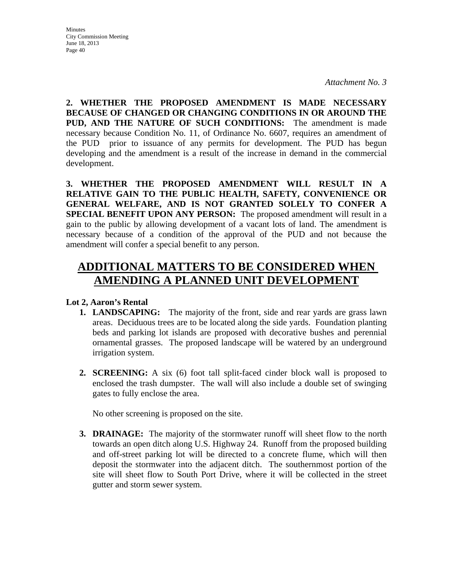**2. WHETHER THE PROPOSED AMENDMENT IS MADE NECESSARY BECAUSE OF CHANGED OR CHANGING CONDITIONS IN OR AROUND THE PUD, AND THE NATURE OF SUCH CONDITIONS:** The amendment is made necessary because Condition No. 11, of Ordinance No. 6607, requires an amendment of the PUD prior to issuance of any permits for development. The PUD has begun developing and the amendment is a result of the increase in demand in the commercial development.

**3. WHETHER THE PROPOSED AMENDMENT WILL RESULT IN A RELATIVE GAIN TO THE PUBLIC HEALTH, SAFETY, CONVENIENCE OR GENERAL WELFARE, AND IS NOT GRANTED SOLELY TO CONFER A SPECIAL BENEFIT UPON ANY PERSON:** The proposed amendment will result in a gain to the public by allowing development of a vacant lots of land. The amendment is necessary because of a condition of the approval of the PUD and not because the amendment will confer a special benefit to any person.

# **ADDITIONAL MATTERS TO BE CONSIDERED WHEN AMENDING A PLANNED UNIT DEVELOPMENT**

### **Lot 2, Aaron's Rental**

- **1. LANDSCAPING:** The majority of the front, side and rear yards are grass lawn areas. Deciduous trees are to be located along the side yards. Foundation planting beds and parking lot islands are proposed with decorative bushes and perennial ornamental grasses. The proposed landscape will be watered by an underground irrigation system.
- **2. SCREENING:** A six (6) foot tall split-faced cinder block wall is proposed to enclosed the trash dumpster. The wall will also include a double set of swinging gates to fully enclose the area.

No other screening is proposed on the site.

**3. DRAINAGE:** The majority of the stormwater runoff will sheet flow to the north towards an open ditch along U.S. Highway 24. Runoff from the proposed building and off-street parking lot will be directed to a concrete flume, which will then deposit the stormwater into the adjacent ditch. The southernmost portion of the site will sheet flow to South Port Drive, where it will be collected in the street gutter and storm sewer system.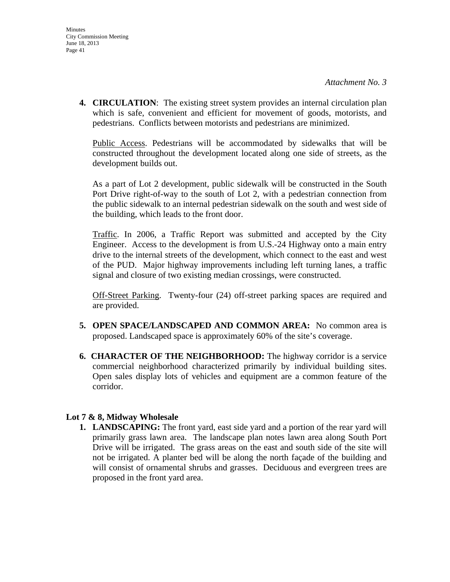**4. CIRCULATION**: The existing street system provides an internal circulation plan which is safe, convenient and efficient for movement of goods, motorists, and pedestrians. Conflicts between motorists and pedestrians are minimized.

Public Access. Pedestrians will be accommodated by sidewalks that will be constructed throughout the development located along one side of streets, as the development builds out.

As a part of Lot 2 development, public sidewalk will be constructed in the South Port Drive right-of-way to the south of Lot 2, with a pedestrian connection from the public sidewalk to an internal pedestrian sidewalk on the south and west side of the building, which leads to the front door.

Traffic. In 2006, a Traffic Report was submitted and accepted by the City Engineer. Access to the development is from U.S.-24 Highway onto a main entry drive to the internal streets of the development, which connect to the east and west of the PUD. Major highway improvements including left turning lanes, a traffic signal and closure of two existing median crossings, were constructed.

Off-Street Parking. Twenty-four (24) off-street parking spaces are required and are provided.

- **5. OPEN SPACE/LANDSCAPED AND COMMON AREA:** No common area is proposed. Landscaped space is approximately 60% of the site's coverage.
- **6. CHARACTER OF THE NEIGHBORHOOD:** The highway corridor is a service commercial neighborhood characterized primarily by individual building sites. Open sales display lots of vehicles and equipment are a common feature of the corridor.

#### **Lot 7 & 8, Midway Wholesale**

**1. LANDSCAPING:** The front yard, east side yard and a portion of the rear yard will primarily grass lawn area. The landscape plan notes lawn area along South Port Drive will be irrigated. The grass areas on the east and south side of the site will not be irrigated. A planter bed will be along the north façade of the building and will consist of ornamental shrubs and grasses. Deciduous and evergreen trees are proposed in the front yard area.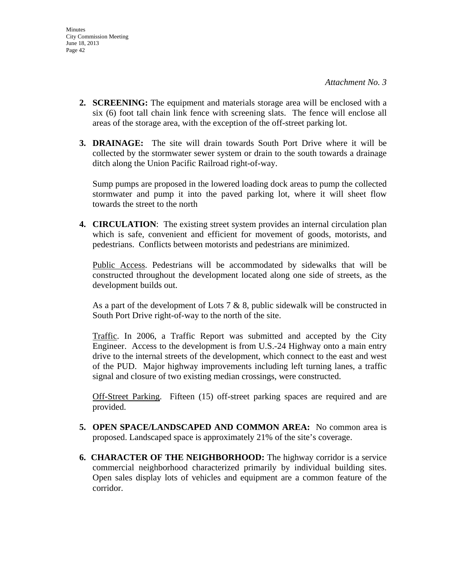- **2. SCREENING:** The equipment and materials storage area will be enclosed with a six (6) foot tall chain link fence with screening slats. The fence will enclose all areas of the storage area, with the exception of the off-street parking lot.
- **3. DRAINAGE:** The site will drain towards South Port Drive where it will be collected by the stormwater sewer system or drain to the south towards a drainage ditch along the Union Pacific Railroad right-of-way.

Sump pumps are proposed in the lowered loading dock areas to pump the collected stormwater and pump it into the paved parking lot, where it will sheet flow towards the street to the north

**4. CIRCULATION**: The existing street system provides an internal circulation plan which is safe, convenient and efficient for movement of goods, motorists, and pedestrians. Conflicts between motorists and pedestrians are minimized.

Public Access. Pedestrians will be accommodated by sidewalks that will be constructed throughout the development located along one side of streets, as the development builds out.

As a part of the development of Lots 7  $\&$  8, public sidewalk will be constructed in South Port Drive right-of-way to the north of the site.

Traffic. In 2006, a Traffic Report was submitted and accepted by the City Engineer. Access to the development is from U.S.-24 Highway onto a main entry drive to the internal streets of the development, which connect to the east and west of the PUD. Major highway improvements including left turning lanes, a traffic signal and closure of two existing median crossings, were constructed.

Off-Street Parking. Fifteen (15) off-street parking spaces are required and are provided.

- **5. OPEN SPACE/LANDSCAPED AND COMMON AREA:** No common area is proposed. Landscaped space is approximately 21% of the site's coverage.
- **6. CHARACTER OF THE NEIGHBORHOOD:** The highway corridor is a service commercial neighborhood characterized primarily by individual building sites. Open sales display lots of vehicles and equipment are a common feature of the corridor.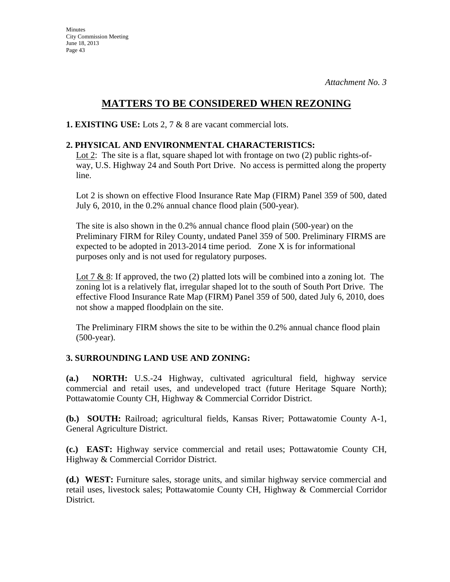## **MATTERS TO BE CONSIDERED WHEN REZONING**

**1. EXISTING USE:** Lots 2, 7 & 8 are vacant commercial lots.

### **2. PHYSICAL AND ENVIRONMENTAL CHARACTERISTICS:**

Lot 2: The site is a flat, square shaped lot with frontage on two (2) public rights-ofway, U.S. Highway 24 and South Port Drive. No access is permitted along the property line.

Lot 2 is shown on effective Flood Insurance Rate Map (FIRM) Panel 359 of 500, dated July 6, 2010, in the 0.2% annual chance flood plain (500-year).

The site is also shown in the 0.2% annual chance flood plain (500-year) on the Preliminary FIRM for Riley County, undated Panel 359 of 500. Preliminary FIRMS are expected to be adopted in 2013-2014 time period. Zone X is for informational purposes only and is not used for regulatory purposes.

Lot 7 & 8: If approved, the two  $(2)$  platted lots will be combined into a zoning lot. The zoning lot is a relatively flat, irregular shaped lot to the south of South Port Drive. The effective Flood Insurance Rate Map (FIRM) Panel 359 of 500, dated July 6, 2010, does not show a mapped floodplain on the site.

The Preliminary FIRM shows the site to be within the 0.2% annual chance flood plain (500-year).

### **3. SURROUNDING LAND USE AND ZONING:**

**(a.) NORTH:** U.S.-24 Highway, cultivated agricultural field, highway service commercial and retail uses, and undeveloped tract (future Heritage Square North); Pottawatomie County CH, Highway & Commercial Corridor District.

**(b.) SOUTH:** Railroad; agricultural fields, Kansas River; Pottawatomie County A-1, General Agriculture District.

**(c.) EAST:** Highway service commercial and retail uses; Pottawatomie County CH, Highway & Commercial Corridor District.

**(d.) WEST:** Furniture sales, storage units, and similar highway service commercial and retail uses, livestock sales; Pottawatomie County CH, Highway & Commercial Corridor District.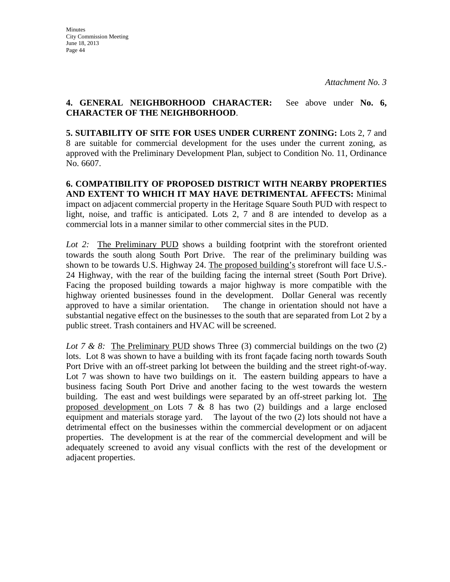#### **4. GENERAL NEIGHBORHOOD CHARACTER:** See above under **No. 6, CHARACTER OF THE NEIGHBORHOOD**.

**5. SUITABILITY OF SITE FOR USES UNDER CURRENT ZONING:** Lots 2, 7 and 8 are suitable for commercial development for the uses under the current zoning, as approved with the Preliminary Development Plan, subject to Condition No. 11, Ordinance No. 6607.

**6. COMPATIBILITY OF PROPOSED DISTRICT WITH NEARBY PROPERTIES AND EXTENT TO WHICH IT MAY HAVE DETRIMENTAL AFFECTS:** Minimal impact on adjacent commercial property in the Heritage Square South PUD with respect to light, noise, and traffic is anticipated. Lots 2, 7 and 8 are intended to develop as a commercial lots in a manner similar to other commercial sites in the PUD.

*Lot 2:* The Preliminary PUD shows a building footprint with the storefront oriented towards the south along South Port Drive. The rear of the preliminary building was shown to be towards U.S. Highway 24. The proposed building's storefront will face U.S.- 24 Highway, with the rear of the building facing the internal street (South Port Drive). Facing the proposed building towards a major highway is more compatible with the highway oriented businesses found in the development. Dollar General was recently approved to have a similar orientation. The change in orientation should not have a substantial negative effect on the businesses to the south that are separated from Lot 2 by a public street. Trash containers and HVAC will be screened.

*Lot 7 & 8:* The Preliminary PUD shows Three (3) commercial buildings on the two (2) lots. Lot 8 was shown to have a building with its front façade facing north towards South Port Drive with an off-street parking lot between the building and the street right-of-way. Lot 7 was shown to have two buildings on it. The eastern building appears to have a business facing South Port Drive and another facing to the west towards the western building. The east and west buildings were separated by an off-street parking lot. The proposed development on Lots  $7 \& 8$  has two (2) buildings and a large enclosed equipment and materials storage yard. The layout of the two (2) lots should not have a detrimental effect on the businesses within the commercial development or on adjacent properties. The development is at the rear of the commercial development and will be adequately screened to avoid any visual conflicts with the rest of the development or adjacent properties.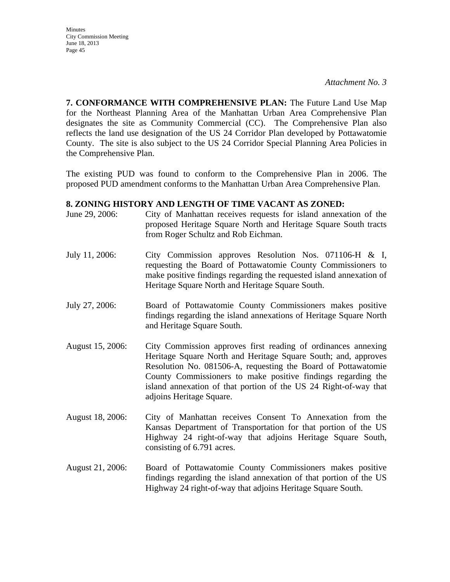*Attachment No. 3*

**7. CONFORMANCE WITH COMPREHENSIVE PLAN:** The Future Land Use Map for the Northeast Planning Area of the Manhattan Urban Area Comprehensive Plan designates the site as Community Commercial (CC). The Comprehensive Plan also reflects the land use designation of the US 24 Corridor Plan developed by Pottawatomie County. The site is also subject to the US 24 Corridor Special Planning Area Policies in the Comprehensive Plan.

The existing PUD was found to conform to the Comprehensive Plan in 2006. The proposed PUD amendment conforms to the Manhattan Urban Area Comprehensive Plan.

#### **8. ZONING HISTORY AND LENGTH OF TIME VACANT AS ZONED:**

- June 29, 2006: City of Manhattan receives requests for island annexation of the proposed Heritage Square North and Heritage Square South tracts from Roger Schultz and Rob Eichman.
- July 11, 2006: City Commission approves Resolution Nos. 071106-H & I, requesting the Board of Pottawatomie County Commissioners to make positive findings regarding the requested island annexation of Heritage Square North and Heritage Square South.
- July 27, 2006: Board of Pottawatomie County Commissioners makes positive findings regarding the island annexations of Heritage Square North and Heritage Square South.
- August 15, 2006: City Commission approves first reading of ordinances annexing Heritage Square North and Heritage Square South; and, approves Resolution No. 081506-A, requesting the Board of Pottawatomie County Commissioners to make positive findings regarding the island annexation of that portion of the US 24 Right-of-way that adjoins Heritage Square.
- August 18, 2006: City of Manhattan receives Consent To Annexation from the Kansas Department of Transportation for that portion of the US Highway 24 right-of-way that adjoins Heritage Square South, consisting of 6.791 acres.
- August 21, 2006: Board of Pottawatomie County Commissioners makes positive findings regarding the island annexation of that portion of the US Highway 24 right-of-way that adjoins Heritage Square South.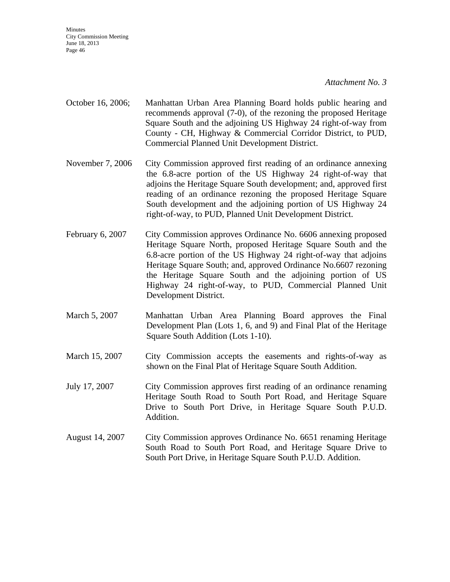*Attachment No. 3*

- October 16, 2006; Manhattan Urban Area Planning Board holds public hearing and recommends approval (7-0), of the rezoning the proposed Heritage Square South and the adjoining US Highway 24 right-of-way from County - CH, Highway & Commercial Corridor District, to PUD, Commercial Planned Unit Development District.
- November 7, 2006 City Commission approved first reading of an ordinance annexing the 6.8-acre portion of the US Highway 24 right-of-way that adjoins the Heritage Square South development; and, approved first reading of an ordinance rezoning the proposed Heritage Square South development and the adjoining portion of US Highway 24 right-of-way, to PUD, Planned Unit Development District.
- February 6, 2007 City Commission approves Ordinance No. 6606 annexing proposed Heritage Square North, proposed Heritage Square South and the 6.8-acre portion of the US Highway 24 right-of-way that adjoins Heritage Square South; and, approved Ordinance No.6607 rezoning the Heritage Square South and the adjoining portion of US Highway 24 right-of-way, to PUD, Commercial Planned Unit Development District.
- March 5, 2007 Manhattan Urban Area Planning Board approves the Final Development Plan (Lots 1, 6, and 9) and Final Plat of the Heritage Square South Addition (Lots 1-10).
- March 15, 2007 City Commission accepts the easements and rights-of-way as shown on the Final Plat of Heritage Square South Addition.
- July 17, 2007 City Commission approves first reading of an ordinance renaming Heritage South Road to South Port Road, and Heritage Square Drive to South Port Drive, in Heritage Square South P.U.D. Addition.
- August 14, 2007 City Commission approves Ordinance No. 6651 renaming Heritage South Road to South Port Road, and Heritage Square Drive to South Port Drive, in Heritage Square South P.U.D. Addition.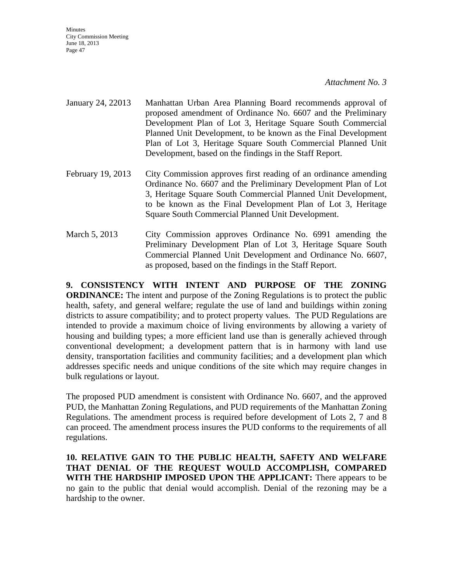#### *Attachment No. 3*

- January 24, 22013 Manhattan Urban Area Planning Board recommends approval of proposed amendment of Ordinance No. 6607 and the Preliminary Development Plan of Lot 3, Heritage Square South Commercial Planned Unit Development, to be known as the Final Development Plan of Lot 3, Heritage Square South Commercial Planned Unit Development, based on the findings in the Staff Report.
- February 19, 2013 City Commission approves first reading of an ordinance amending Ordinance No. 6607 and the Preliminary Development Plan of Lot 3, Heritage Square South Commercial Planned Unit Development, to be known as the Final Development Plan of Lot 3, Heritage Square South Commercial Planned Unit Development.
- March 5, 2013 City Commission approves Ordinance No. 6991 amending the Preliminary Development Plan of Lot 3, Heritage Square South Commercial Planned Unit Development and Ordinance No. 6607, as proposed, based on the findings in the Staff Report.

**9. CONSISTENCY WITH INTENT AND PURPOSE OF THE ZONING ORDINANCE:** The intent and purpose of the Zoning Regulations is to protect the public health, safety, and general welfare; regulate the use of land and buildings within zoning districts to assure compatibility; and to protect property values. The PUD Regulations are intended to provide a maximum choice of living environments by allowing a variety of housing and building types; a more efficient land use than is generally achieved through conventional development; a development pattern that is in harmony with land use density, transportation facilities and community facilities; and a development plan which addresses specific needs and unique conditions of the site which may require changes in bulk regulations or layout.

The proposed PUD amendment is consistent with Ordinance No. 6607, and the approved PUD, the Manhattan Zoning Regulations, and PUD requirements of the Manhattan Zoning Regulations. The amendment process is required before development of Lots 2, 7 and 8 can proceed. The amendment process insures the PUD conforms to the requirements of all regulations.

**10. RELATIVE GAIN TO THE PUBLIC HEALTH, SAFETY AND WELFARE THAT DENIAL OF THE REQUEST WOULD ACCOMPLISH, COMPARED WITH THE HARDSHIP IMPOSED UPON THE APPLICANT:** There appears to be no gain to the public that denial would accomplish. Denial of the rezoning may be a hardship to the owner.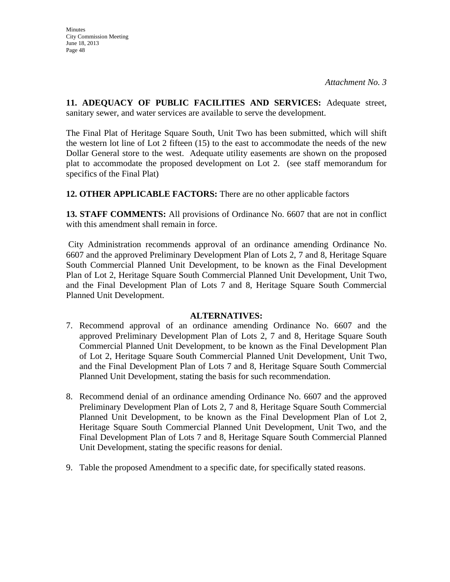**11. ADEQUACY OF PUBLIC FACILITIES AND SERVICES:** Adequate street, sanitary sewer, and water services are available to serve the development.

The Final Plat of Heritage Square South, Unit Two has been submitted, which will shift the western lot line of Lot 2 fifteen (15) to the east to accommodate the needs of the new Dollar General store to the west. Adequate utility easements are shown on the proposed plat to accommodate the proposed development on Lot 2. (see staff memorandum for specifics of the Final Plat)

**12. OTHER APPLICABLE FACTORS:** There are no other applicable factors

**13. STAFF COMMENTS:** All provisions of Ordinance No. 6607 that are not in conflict with this amendment shall remain in force.

City Administration recommends approval of an ordinance amending Ordinance No. 6607 and the approved Preliminary Development Plan of Lots 2, 7 and 8, Heritage Square South Commercial Planned Unit Development, to be known as the Final Development Plan of Lot 2, Heritage Square South Commercial Planned Unit Development, Unit Two, and the Final Development Plan of Lots 7 and 8, Heritage Square South Commercial Planned Unit Development.

#### **ALTERNATIVES:**

- 7. Recommend approval of an ordinance amending Ordinance No. 6607 and the approved Preliminary Development Plan of Lots 2, 7 and 8, Heritage Square South Commercial Planned Unit Development, to be known as the Final Development Plan of Lot 2, Heritage Square South Commercial Planned Unit Development, Unit Two, and the Final Development Plan of Lots 7 and 8, Heritage Square South Commercial Planned Unit Development, stating the basis for such recommendation.
- 8. Recommend denial of an ordinance amending Ordinance No. 6607 and the approved Preliminary Development Plan of Lots 2, 7 and 8, Heritage Square South Commercial Planned Unit Development, to be known as the Final Development Plan of Lot 2, Heritage Square South Commercial Planned Unit Development, Unit Two, and the Final Development Plan of Lots 7 and 8, Heritage Square South Commercial Planned Unit Development, stating the specific reasons for denial.
- 9. Table the proposed Amendment to a specific date, for specifically stated reasons.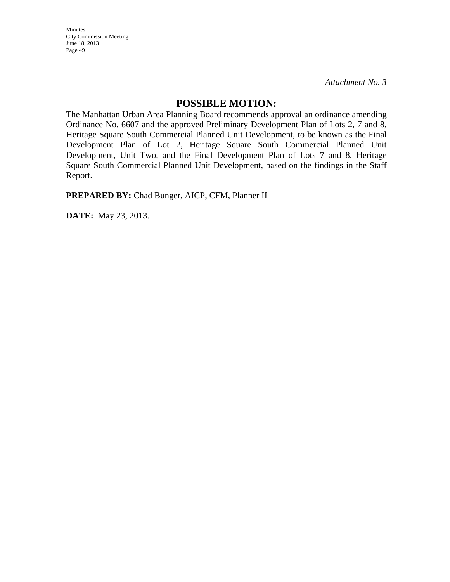*Attachment No. 3*

#### **POSSIBLE MOTION:**

The Manhattan Urban Area Planning Board recommends approval an ordinance amending Ordinance No. 6607 and the approved Preliminary Development Plan of Lots 2, 7 and 8, Heritage Square South Commercial Planned Unit Development, to be known as the Final Development Plan of Lot 2, Heritage Square South Commercial Planned Unit Development, Unit Two, and the Final Development Plan of Lots 7 and 8, Heritage Square South Commercial Planned Unit Development, based on the findings in the Staff Report.

**PREPARED BY:** Chad Bunger, AICP, CFM, Planner II

**DATE:** May 23, 2013.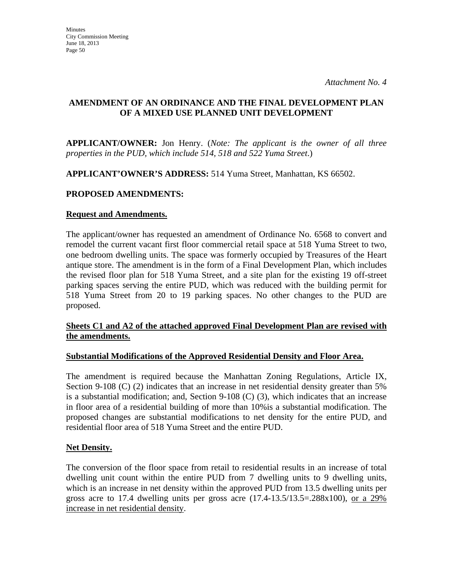#### **AMENDMENT OF AN ORDINANCE AND THE FINAL DEVELOPMENT PLAN OF A MIXED USE PLANNED UNIT DEVELOPMENT**

**APPLICANT/OWNER:** Jon Henry. (*Note: The applicant is the owner of all three properties in the PUD, which include 514, 518 and 522 Yuma Street*.)

**APPLICANT'OWNER'S ADDRESS:** 514 Yuma Street, Manhattan, KS 66502.

#### **PROPOSED AMENDMENTS:**

#### **Request and Amendments.**

The applicant/owner has requested an amendment of Ordinance No. 6568 to convert and remodel the current vacant first floor commercial retail space at 518 Yuma Street to two, one bedroom dwelling units. The space was formerly occupied by Treasures of the Heart antique store. The amendment is in the form of a Final Development Plan, which includes the revised floor plan for 518 Yuma Street, and a site plan for the existing 19 off-street parking spaces serving the entire PUD, which was reduced with the building permit for 518 Yuma Street from 20 to 19 parking spaces. No other changes to the PUD are proposed.

#### **Sheets C1 and A2 of the attached approved Final Development Plan are revised with the amendments.**

#### **Substantial Modifications of the Approved Residential Density and Floor Area.**

The amendment is required because the Manhattan Zoning Regulations, Article IX, Section 9-108 (C) (2) indicates that an increase in net residential density greater than 5% is a substantial modification; and, Section 9-108 (C) (3), which indicates that an increase in floor area of a residential building of more than 10%is a substantial modification. The proposed changes are substantial modifications to net density for the entire PUD, and residential floor area of 518 Yuma Street and the entire PUD.

#### **Net Density.**

The conversion of the floor space from retail to residential results in an increase of total dwelling unit count within the entire PUD from 7 dwelling units to 9 dwelling units, which is an increase in net density within the approved PUD from 13.5 dwelling units per gross acre to 17.4 dwelling units per gross acre  $(17.4-13.5/13.5=.288x100)$ , or a 29% increase in net residential density.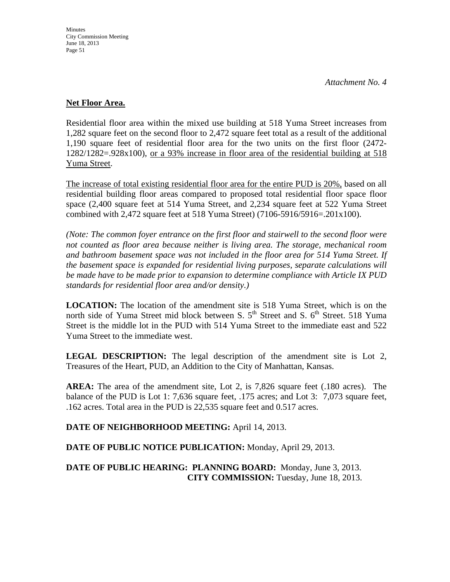#### **Net Floor Area.**

Residential floor area within the mixed use building at 518 Yuma Street increases from 1,282 square feet on the second floor to 2,472 square feet total as a result of the additional 1,190 square feet of residential floor area for the two units on the first floor (2472- 1282/1282=.928x100), or a 93% increase in floor area of the residential building at 518 Yuma Street.

The increase of total existing residential floor area for the entire PUD is 20%, based on all residential building floor areas compared to proposed total residential floor space floor space (2,400 square feet at 514 Yuma Street, and 2,234 square feet at 522 Yuma Street combined with 2,472 square feet at 518 Yuma Street) (7106-5916/5916=.201x100).

*(Note: The common foyer entrance on the first floor and stairwell to the second floor were not counted as floor area because neither is living area. The storage, mechanical room and bathroom basement space was not included in the floor area for 514 Yuma Street. If the basement space is expanded for residential living purposes, separate calculations will be made have to be made prior to expansion to determine compliance with Article IX PUD standards for residential floor area and/or density.)* 

**LOCATION:** The location of the amendment site is 518 Yuma Street, which is on the north side of Yuma Street mid block between S.  $5<sup>th</sup>$  Street and S.  $6<sup>th</sup>$  Street. 518 Yuma Street is the middle lot in the PUD with 514 Yuma Street to the immediate east and 522 Yuma Street to the immediate west.

**LEGAL DESCRIPTION:** The legal description of the amendment site is Lot 2, Treasures of the Heart, PUD, an Addition to the City of Manhattan, Kansas.

**AREA:** The area of the amendment site, Lot 2, is 7,826 square feet (.180 acres). The balance of the PUD is Lot 1: 7,636 square feet, .175 acres; and Lot 3: 7,073 square feet, .162 acres. Total area in the PUD is 22,535 square feet and 0.517 acres.

**DATE OF NEIGHBORHOOD MEETING:** April 14, 2013.

**DATE OF PUBLIC NOTICE PUBLICATION:** Monday, April 29, 2013.

**DATE OF PUBLIC HEARING: PLANNING BOARD:** Monday, June 3, 2013. **CITY COMMISSION:** Tuesday, June 18, 2013.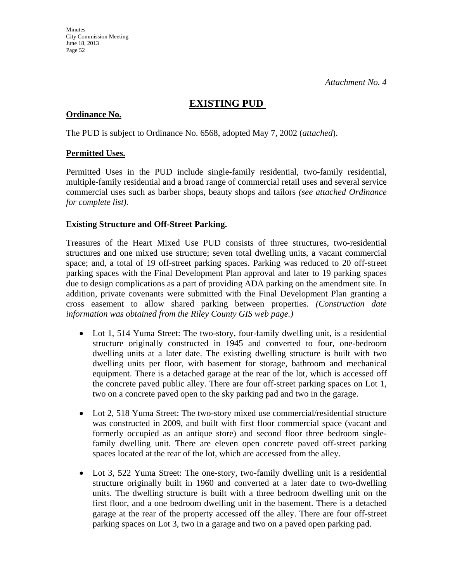### **EXISTING PUD**

#### **Ordinance No.**

The PUD is subject to Ordinance No. 6568, adopted May 7, 2002 (*attached*).

#### **Permitted Uses.**

Permitted Uses in the PUD include single-family residential, two-family residential, multiple-family residential and a broad range of commercial retail uses and several service commercial uses such as barber shops, beauty shops and tailors *(see attached Ordinance for complete list)*.

#### **Existing Structure and Off-Street Parking.**

Treasures of the Heart Mixed Use PUD consists of three structures, two-residential structures and one mixed use structure; seven total dwelling units, a vacant commercial space; and, a total of 19 off-street parking spaces. Parking was reduced to 20 off-street parking spaces with the Final Development Plan approval and later to 19 parking spaces due to design complications as a part of providing ADA parking on the amendment site. In addition, private covenants were submitted with the Final Development Plan granting a cross easement to allow shared parking between properties. *(Construction date information was obtained from the Riley County GIS web page.)*

- Lot 1, 514 Yuma Street: The two-story, four-family dwelling unit, is a residential structure originally constructed in 1945 and converted to four, one-bedroom dwelling units at a later date. The existing dwelling structure is built with two dwelling units per floor, with basement for storage, bathroom and mechanical equipment. There is a detached garage at the rear of the lot, which is accessed off the concrete paved public alley. There are four off-street parking spaces on Lot 1, two on a concrete paved open to the sky parking pad and two in the garage.
- Lot 2, 518 Yuma Street: The two-story mixed use commercial/residential structure was constructed in 2009, and built with first floor commercial space (vacant and formerly occupied as an antique store) and second floor three bedroom singlefamily dwelling unit. There are eleven open concrete paved off-street parking spaces located at the rear of the lot, which are accessed from the alley.
- Lot 3, 522 Yuma Street: The one-story, two-family dwelling unit is a residential structure originally built in 1960 and converted at a later date to two-dwelling units. The dwelling structure is built with a three bedroom dwelling unit on the first floor, and a one bedroom dwelling unit in the basement. There is a detached garage at the rear of the property accessed off the alley. There are four off-street parking spaces on Lot 3, two in a garage and two on a paved open parking pad.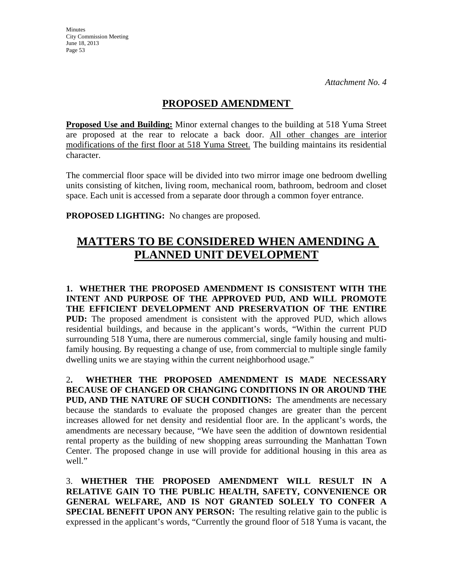## **PROPOSED AMENDMENT**

**Proposed Use and Building:** Minor external changes to the building at 518 Yuma Street are proposed at the rear to relocate a back door. All other changes are interior modifications of the first floor at 518 Yuma Street. The building maintains its residential character.

The commercial floor space will be divided into two mirror image one bedroom dwelling units consisting of kitchen, living room, mechanical room, bathroom, bedroom and closet space. Each unit is accessed from a separate door through a common foyer entrance.

**PROPOSED LIGHTING:** No changes are proposed.

# **MATTERS TO BE CONSIDERED WHEN AMENDING A PLANNED UNIT DEVELOPMENT**

**1. WHETHER THE PROPOSED AMENDMENT IS CONSISTENT WITH THE INTENT AND PURPOSE OF THE APPROVED PUD, AND WILL PROMOTE THE EFFICIENT DEVELOPMENT AND PRESERVATION OF THE ENTIRE PUD:** The proposed amendment is consistent with the approved PUD, which allows residential buildings, and because in the applicant's words, "Within the current PUD surrounding 518 Yuma, there are numerous commercial, single family housing and multifamily housing. By requesting a change of use, from commercial to multiple single family dwelling units we are staying within the current neighborhood usage."

2**. WHETHER THE PROPOSED AMENDMENT IS MADE NECESSARY BECAUSE OF CHANGED OR CHANGING CONDITIONS IN OR AROUND THE PUD, AND THE NATURE OF SUCH CONDITIONS:** The amendments are necessary because the standards to evaluate the proposed changes are greater than the percent increases allowed for net density and residential floor are. In the applicant's words, the amendments are necessary because, "We have seen the addition of downtown residential rental property as the building of new shopping areas surrounding the Manhattan Town Center. The proposed change in use will provide for additional housing in this area as well."

3. **WHETHER THE PROPOSED AMENDMENT WILL RESULT IN A RELATIVE GAIN TO THE PUBLIC HEALTH, SAFETY, CONVENIENCE OR GENERAL WELFARE, AND IS NOT GRANTED SOLELY TO CONFER A SPECIAL BENEFIT UPON ANY PERSON:** The resulting relative gain to the public is expressed in the applicant's words, "Currently the ground floor of 518 Yuma is vacant, the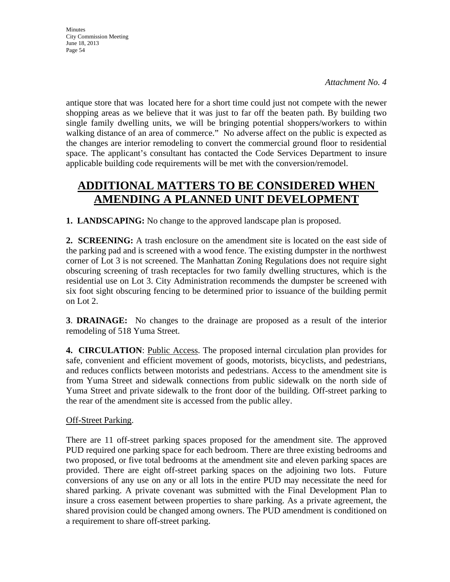antique store that was located here for a short time could just not compete with the newer shopping areas as we believe that it was just to far off the beaten path. By building two single family dwelling units, we will be bringing potential shoppers/workers to within walking distance of an area of commerce." No adverse affect on the public is expected as the changes are interior remodeling to convert the commercial ground floor to residential space. The applicant's consultant has contacted the Code Services Department to insure applicable building code requirements will be met with the conversion/remodel.

# **ADDITIONAL MATTERS TO BE CONSIDERED WHEN AMENDING A PLANNED UNIT DEVELOPMENT**

**1. LANDSCAPING:** No change to the approved landscape plan is proposed.

2. **SCREENING:** A trash enclosure on the amendment site is located on the east side of the parking pad and is screened with a wood fence. The existing dumpster in the northwest corner of Lot 3 is not screened. The Manhattan Zoning Regulations does not require sight obscuring screening of trash receptacles for two family dwelling structures, which is the residential use on Lot 3. City Administration recommends the dumpster be screened with six foot sight obscuring fencing to be determined prior to issuance of the building permit on Lot 2.

**3**. **DRAINAGE:** No changes to the drainage are proposed as a result of the interior remodeling of 518 Yuma Street.

**4. CIRCULATION**: Public Access. The proposed internal circulation plan provides for safe, convenient and efficient movement of goods, motorists, bicyclists, and pedestrians, and reduces conflicts between motorists and pedestrians. Access to the amendment site is from Yuma Street and sidewalk connections from public sidewalk on the north side of Yuma Street and private sidewalk to the front door of the building. Off-street parking to the rear of the amendment site is accessed from the public alley.

### Off-Street Parking.

There are 11 off-street parking spaces proposed for the amendment site. The approved PUD required one parking space for each bedroom. There are three existing bedrooms and two proposed, or five total bedrooms at the amendment site and eleven parking spaces are provided. There are eight off-street parking spaces on the adjoining two lots. Future conversions of any use on any or all lots in the entire PUD may necessitate the need for shared parking. A private covenant was submitted with the Final Development Plan to insure a cross easement between properties to share parking. As a private agreement, the shared provision could be changed among owners. The PUD amendment is conditioned on a requirement to share off-street parking.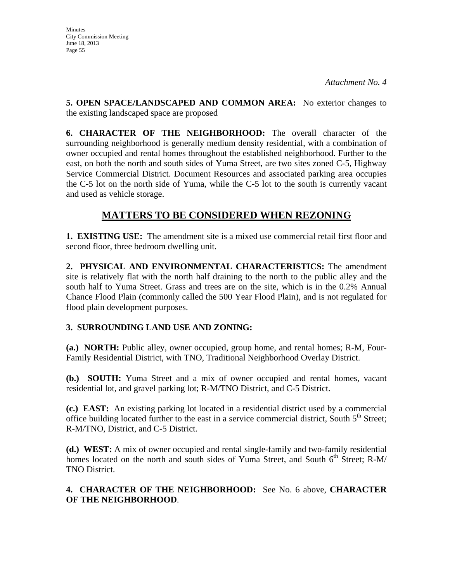**Minutes** City Commission Meeting June 18, 2013 Page 55

**5. OPEN SPACE/LANDSCAPED AND COMMON AREA:** No exterior changes to the existing landscaped space are proposed

**6. CHARACTER OF THE NEIGHBORHOOD:** The overall character of the surrounding neighborhood is generally medium density residential, with a combination of owner occupied and rental homes throughout the established neighborhood. Further to the east, on both the north and south sides of Yuma Street, are two sites zoned C-5, Highway Service Commercial District. Document Resources and associated parking area occupies the C-5 lot on the north side of Yuma, while the C-5 lot to the south is currently vacant and used as vehicle storage.

## **MATTERS TO BE CONSIDERED WHEN REZONING**

**1. EXISTING USE:** The amendment site is a mixed use commercial retail first floor and second floor, three bedroom dwelling unit.

**2. PHYSICAL AND ENVIRONMENTAL CHARACTERISTICS:** The amendment site is relatively flat with the north half draining to the north to the public alley and the south half to Yuma Street. Grass and trees are on the site, which is in the 0.2% Annual Chance Flood Plain (commonly called the 500 Year Flood Plain), and is not regulated for flood plain development purposes.

### **3. SURROUNDING LAND USE AND ZONING:**

**(a.) NORTH:** Public alley, owner occupied, group home, and rental homes; R-M, Four-Family Residential District, with TNO, Traditional Neighborhood Overlay District.

**(b.) SOUTH:** Yuma Street and a mix of owner occupied and rental homes, vacant residential lot, and gravel parking lot; R-M/TNO District, and C-5 District.

**(c.) EAST:** An existing parking lot located in a residential district used by a commercial office building located further to the east in a service commercial district, South  $5<sup>th</sup>$  Street; R-M/TNO, District, and C-5 District.

**(d.) WEST:** A mix of owner occupied and rental single-family and two-family residential homes located on the north and south sides of Yuma Street, and South  $6<sup>th</sup>$  Street; R-M/ TNO District.

#### **4. CHARACTER OF THE NEIGHBORHOOD:** See No. 6 above, **CHARACTER OF THE NEIGHBORHOOD**.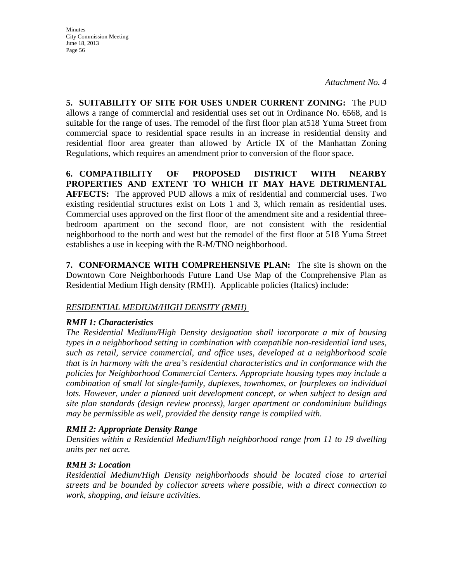*Attachment No. 4*

**5. SUITABILITY OF SITE FOR USES UNDER CURRENT ZONING:** The PUD allows a range of commercial and residential uses set out in Ordinance No. 6568, and is suitable for the range of uses. The remodel of the first floor plan at518 Yuma Street from commercial space to residential space results in an increase in residential density and residential floor area greater than allowed by Article IX of the Manhattan Zoning Regulations, which requires an amendment prior to conversion of the floor space.

**6. COMPATIBILITY OF PROPOSED DISTRICT WITH NEARBY PROPERTIES AND EXTENT TO WHICH IT MAY HAVE DETRIMENTAL AFFECTS:** The approved PUD allows a mix of residential and commercial uses. Two existing residential structures exist on Lots 1 and 3, which remain as residential uses. Commercial uses approved on the first floor of the amendment site and a residential threebedroom apartment on the second floor, are not consistent with the residential neighborhood to the north and west but the remodel of the first floor at 518 Yuma Street establishes a use in keeping with the R-M/TNO neighborhood.

**7. CONFORMANCE WITH COMPREHENSIVE PLAN:** The site is shown on the Downtown Core Neighborhoods Future Land Use Map of the Comprehensive Plan as Residential Medium High density (RMH). Applicable policies (Italics) include:

#### *RESIDENTIAL MEDIUM/HIGH DENSITY (RMH)*

#### *RMH 1: Characteristics*

*The Residential Medium/High Density designation shall incorporate a mix of housing types in a neighborhood setting in combination with compatible non-residential land uses, such as retail, service commercial, and office uses, developed at a neighborhood scale that is in harmony with the area's residential characteristics and in conformance with the policies for Neighborhood Commercial Centers. Appropriate housing types may include a combination of small lot single-family, duplexes, townhomes, or fourplexes on individual*  lots. However, under a planned unit development concept, or when subject to design and *site plan standards (design review process), larger apartment or condominium buildings may be permissible as well, provided the density range is complied with.* 

#### *RMH 2: Appropriate Density Range*

*Densities within a Residential Medium/High neighborhood range from 11 to 19 dwelling units per net acre.* 

#### *RMH 3: Location*

*Residential Medium/High Density neighborhoods should be located close to arterial streets and be bounded by collector streets where possible, with a direct connection to work, shopping, and leisure activities.*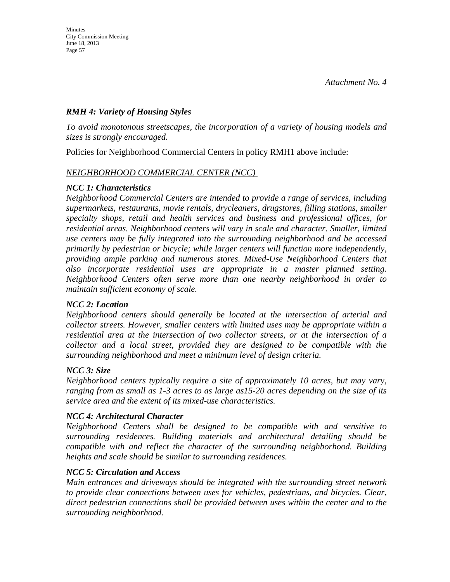#### *RMH 4: Variety of Housing Styles*

*To avoid monotonous streetscapes, the incorporation of a variety of housing models and sizes is strongly encouraged.* 

Policies for Neighborhood Commercial Centers in policy RMH1 above include:

#### *NEIGHBORHOOD COMMERCIAL CENTER (NCC)*

#### *NCC 1: Characteristics*

*Neighborhood Commercial Centers are intended to provide a range of services, including supermarkets, restaurants, movie rentals, drycleaners, drugstores, filling stations, smaller specialty shops, retail and health services and business and professional offices, for residential areas. Neighborhood centers will vary in scale and character. Smaller, limited use centers may be fully integrated into the surrounding neighborhood and be accessed primarily by pedestrian or bicycle; while larger centers will function more independently, providing ample parking and numerous stores. Mixed-Use Neighborhood Centers that also incorporate residential uses are appropriate in a master planned setting. Neighborhood Centers often serve more than one nearby neighborhood in order to maintain sufficient economy of scale.* 

#### *NCC 2: Location*

*Neighborhood centers should generally be located at the intersection of arterial and collector streets. However, smaller centers with limited uses may be appropriate within a residential area at the intersection of two collector streets, or at the intersection of a collector and a local street, provided they are designed to be compatible with the surrounding neighborhood and meet a minimum level of design criteria.* 

#### *NCC 3: Size*

*Neighborhood centers typically require a site of approximately 10 acres, but may vary, ranging from as small as 1-3 acres to as large as15-20 acres depending on the size of its service area and the extent of its mixed-use characteristics.* 

#### *NCC 4: Architectural Character*

*Neighborhood Centers shall be designed to be compatible with and sensitive to surrounding residences. Building materials and architectural detailing should be compatible with and reflect the character of the surrounding neighborhood. Building heights and scale should be similar to surrounding residences.* 

#### *NCC 5: Circulation and Access*

*Main entrances and driveways should be integrated with the surrounding street network to provide clear connections between uses for vehicles, pedestrians, and bicycles. Clear, direct pedestrian connections shall be provided between uses within the center and to the surrounding neighborhood.*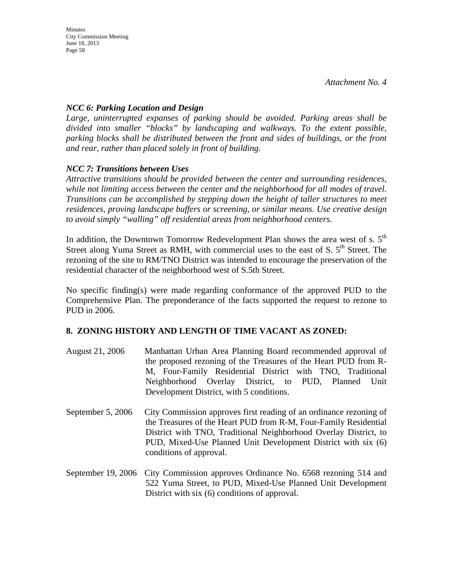#### *NCC 6: Parking Location and Design*

*Large, uninterrupted expanses of parking should be avoided. Parking areas shall be divided into smaller "blocks" by landscaping and walkways. To the extent possible, parking blocks shall be distributed between the front and sides of buildings, or the front and rear, rather than placed solely in front of building.* 

### *NCC 7: Transitions between Uses*

*Attractive transitions should be provided between the center and surrounding residences, while not limiting access between the center and the neighborhood for all modes of travel. Transitions can be accomplished by stepping down the height of taller structures to meet residences, proving landscape buffers or screening, or similar means. Use creative design to avoid simply "walling" off residential areas from neighborhood centers.* 

In addition, the Downtown Tomorrow Redevelopment Plan shows the area west of s.  $5<sup>th</sup>$ Street along Yuma Street as RMH, with commercial uses to the east of S.  $5<sup>th</sup>$  Street. The rezoning of the site to RM/TNO District was intended to encourage the preservation of the residential character of the neighborhood west of S.5th Street.

No specific finding(s) were made regarding conformance of the approved PUD to the Comprehensive Plan. The preponderance of the facts supported the request to rezone to PUD in 2006.

#### **8. ZONING HISTORY AND LENGTH OF TIME VACANT AS ZONED:**

- August 21, 2006 Manhattan Urban Area Planning Board recommended approval of the proposed rezoning of the Treasures of the Heart PUD from R-M, Four-Family Residential District with TNO, Traditional Neighborhood Overlay District, to PUD, Planned Unit Development District, with 5 conditions.
- September 5, 2006 City Commission approves first reading of an ordinance rezoning of the Treasures of the Heart PUD from R-M, Four-Family Residential District with TNO, Traditional Neighborhood Overlay District, to PUD, Mixed-Use Planned Unit Development District with six (6) conditions of approval.
- September 19, 2006 City Commission approves Ordinance No. 6568 rezoning 514 and 522 Yuma Street, to PUD, Mixed-Use Planned Unit Development District with six (6) conditions of approval.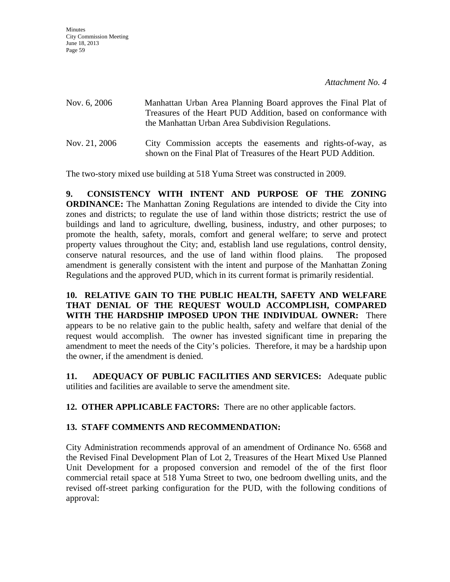| Nov. 6, 2006  | Manhattan Urban Area Planning Board approves the Final Plat of<br>Treasures of the Heart PUD Addition, based on conformance with<br>the Manhattan Urban Area Subdivision Regulations. |
|---------------|---------------------------------------------------------------------------------------------------------------------------------------------------------------------------------------|
| Nov. 21, 2006 | City Commission accepts the easements and rights-of-way, as<br>shown on the Final Plat of Treasures of the Heart PUD Addition.                                                        |

The two-story mixed use building at 518 Yuma Street was constructed in 2009.

**9. CONSISTENCY WITH INTENT AND PURPOSE OF THE ZONING ORDINANCE:** The Manhattan Zoning Regulations are intended to divide the City into zones and districts; to regulate the use of land within those districts; restrict the use of buildings and land to agriculture, dwelling, business, industry, and other purposes; to promote the health, safety, morals, comfort and general welfare; to serve and protect property values throughout the City; and, establish land use regulations, control density, conserve natural resources, and the use of land within flood plains. The proposed amendment is generally consistent with the intent and purpose of the Manhattan Zoning Regulations and the approved PUD, which in its current format is primarily residential.

**10. RELATIVE GAIN TO THE PUBLIC HEALTH, SAFETY AND WELFARE THAT DENIAL OF THE REQUEST WOULD ACCOMPLISH, COMPARED WITH THE HARDSHIP IMPOSED UPON THE INDIVIDUAL OWNER:** There appears to be no relative gain to the public health, safety and welfare that denial of the request would accomplish. The owner has invested significant time in preparing the amendment to meet the needs of the City's policies. Therefore, it may be a hardship upon the owner, if the amendment is denied.

**11. ADEQUACY OF PUBLIC FACILITIES AND SERVICES:** Adequate public utilities and facilities are available to serve the amendment site.

**12. OTHER APPLICABLE FACTORS:** There are no other applicable factors.

#### **13. STAFF COMMENTS AND RECOMMENDATION:**

City Administration recommends approval of an amendment of Ordinance No. 6568 and the Revised Final Development Plan of Lot 2, Treasures of the Heart Mixed Use Planned Unit Development for a proposed conversion and remodel of the of the first floor commercial retail space at 518 Yuma Street to two, one bedroom dwelling units, and the revised off-street parking configuration for the PUD, with the following conditions of approval: